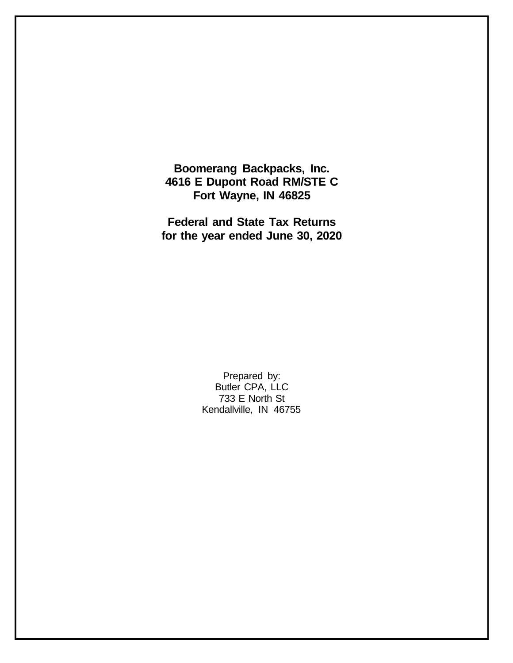**Boomerang Backpacks, Inc. 4616 E Dupont Road RM/STE C Fort Wayne, IN 46825**

**Federal and State Tax Returns for the year ended June 30, 2020**

> Prepared by: Butler CPA, LLC 733 E North St Kendallville, IN 46755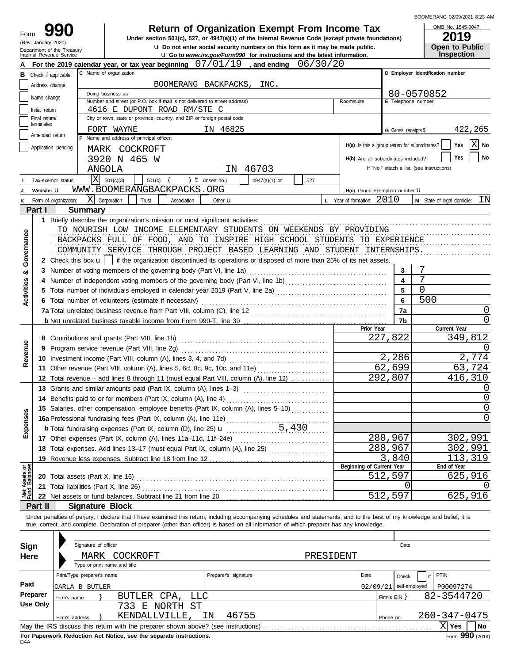| BOOMERANG 02/09/2021 8:23 AM |  |  |
|------------------------------|--|--|
|                              |  |  |

|                     | 990                        |
|---------------------|----------------------------|
| Form                |                            |
| (Rev. January 2020) |                            |
|                     | Department of the Treasury |

**u** Do not enter social security numbers on this form as it may be made public. **Open to Public 990 2000 2019 2019 2019 Depend From Income Tax Promegage 1019 2019 2019 2019 2019** 

OMB No. 1545-0047 **Open to Public** 

|                                |                                                | Internal Revenue Service                     |                                                                                                                                                                            |        |                |                      |       | La Go to www.irs.gov/Form990 for instructions and the latest information. |          |           |                                               |                          |                     |                                            | <b>Inspection</b>                 |          |
|--------------------------------|------------------------------------------------|----------------------------------------------|----------------------------------------------------------------------------------------------------------------------------------------------------------------------------|--------|----------------|----------------------|-------|---------------------------------------------------------------------------|----------|-----------|-----------------------------------------------|--------------------------|---------------------|--------------------------------------------|-----------------------------------|----------|
|                                |                                                |                                              | For the 2019 calendar year, or tax year beginning $07/01/19$                                                                                                               |        |                |                      |       | . and ending                                                              | 06/30/20 |           |                                               |                          |                     |                                            |                                   |          |
| В                              |                                                | Check if applicable:                         | C Name of organization                                                                                                                                                     |        |                |                      |       |                                                                           |          |           |                                               |                          |                     | D Employer identification number           |                                   |          |
|                                | BOOMERANG BACKPACKS,<br>INC.<br>Address change |                                              |                                                                                                                                                                            |        |                |                      |       |                                                                           |          |           |                                               |                          |                     |                                            |                                   |          |
|                                |                                                |                                              | Doing business as                                                                                                                                                          |        |                |                      |       |                                                                           |          |           |                                               |                          |                     | 80-0570852                                 |                                   |          |
|                                | Name change                                    |                                              | Number and street (or P.O. box if mail is not delivered to street address)                                                                                                 |        |                |                      |       |                                                                           |          |           | Room/suite                                    |                          |                     | <b>E</b> Telephone number                  |                                   |          |
|                                | Initial return                                 |                                              | 4616 E DUPONT ROAD RM/STE C                                                                                                                                                |        |                |                      |       |                                                                           |          |           |                                               |                          |                     |                                            |                                   |          |
|                                | Final return/                                  |                                              | City or town, state or province, country, and ZIP or foreign postal code                                                                                                   |        |                |                      |       |                                                                           |          |           |                                               |                          |                     |                                            |                                   |          |
|                                | terminated                                     |                                              |                                                                                                                                                                            |        |                |                      |       |                                                                           |          |           |                                               |                          |                     |                                            |                                   |          |
|                                | Amended return                                 |                                              | FORT WAYNE                                                                                                                                                                 |        |                | IN 46825             |       |                                                                           |          |           |                                               |                          | G Gross receipts \$ |                                            |                                   | 422,265  |
|                                |                                                |                                              | F Name and address of principal officer:                                                                                                                                   |        |                |                      |       |                                                                           |          |           | H(a) Is this a group return for subordinates? |                          |                     |                                            | Yes                               | $ X $ No |
|                                |                                                | Application pending                          | MARK COCKROFT                                                                                                                                                              |        |                |                      |       |                                                                           |          |           |                                               |                          |                     |                                            |                                   |          |
|                                |                                                |                                              | 3920 N 465 W                                                                                                                                                               |        |                |                      |       |                                                                           |          |           | H(b) Are all subordinates included?           |                          |                     |                                            | Yes                               | No       |
|                                |                                                |                                              | ANGOLA                                                                                                                                                                     |        |                |                      |       | IN 46703                                                                  |          |           |                                               |                          |                     | If "No," attach a list. (see instructions) |                                   |          |
|                                |                                                | Tax-exempt status:                           | $ X $ 501(c)(3)                                                                                                                                                            | 501(c) |                | ) $t$ (insert no.)   |       | 4947(a)(1) or                                                             | 527      |           |                                               |                          |                     |                                            |                                   |          |
|                                |                                                |                                              |                                                                                                                                                                            |        |                |                      |       |                                                                           |          |           |                                               |                          |                     |                                            |                                   |          |
|                                | Website: U                                     |                                              | WWW.BOOMERANGBACKPACKS.ORG                                                                                                                                                 |        |                |                      |       |                                                                           |          |           | H(c) Group exemption number U                 |                          |                     |                                            |                                   |          |
| κ                              |                                                | Form of organization:                        | $ X $ Corporation                                                                                                                                                          | Trust  | Association    | Other <b>u</b>       |       |                                                                           |          |           | L Year of formation: 2010                     |                          |                     |                                            | $M$ State of legal domicile: $IN$ |          |
|                                | Part I                                         |                                              | <b>Summary</b>                                                                                                                                                             |        |                |                      |       |                                                                           |          |           |                                               |                          |                     |                                            |                                   |          |
|                                |                                                |                                              |                                                                                                                                                                            |        |                |                      |       |                                                                           |          |           |                                               |                          |                     |                                            |                                   |          |
|                                |                                                |                                              | TO NOURISH LOW INCOME ELEMENTARY STUDENTS ON WEEKENDS BY PROVIDING                                                                                                         |        |                |                      |       |                                                                           |          |           |                                               |                          |                     |                                            |                                   |          |
| Governance                     |                                                |                                              | BACKPACKS FULL OF FOOD, AND TO INSPIRE HIGH SCHOOL STUDENTS TO EXPERIENCE                                                                                                  |        |                |                      |       |                                                                           |          |           |                                               |                          |                     |                                            |                                   |          |
|                                |                                                |                                              |                                                                                                                                                                            |        |                |                      |       |                                                                           |          |           |                                               |                          |                     |                                            |                                   |          |
|                                |                                                |                                              | COMMUNITY SERVICE THROUGH PROJECT BASED LEARNING AND STUDENT INTERNSHIPS.                                                                                                  |        |                |                      |       |                                                                           |          |           |                                               |                          |                     |                                            |                                   |          |
|                                |                                                |                                              | 2 Check this box $\mathbf{u}$   if the organization discontinued its operations or disposed of more than 25% of its net assets.                                            |        |                |                      |       |                                                                           |          |           |                                               |                          |                     |                                            |                                   |          |
| య                              |                                                |                                              | 3 Number of voting members of the governing body (Part VI, line 1a)                                                                                                        |        |                |                      |       |                                                                           |          |           |                                               |                          |                     |                                            |                                   |          |
|                                |                                                |                                              |                                                                                                                                                                            |        |                |                      |       |                                                                           |          |           |                                               |                          |                     | 7                                          |                                   |          |
| <b>Activities</b>              |                                                |                                              | 5 Total number of individuals employed in calendar year 2019 (Part V, line 2a) [[[[[[[[[[[[[[[[[[[[[[[[[[[[[[[                                                             |        |                |                      |       |                                                                           |          |           |                                               |                          |                     | 0                                          |                                   |          |
|                                |                                                |                                              | 6 Total number of volunteers (estimate if necessary)                                                                                                                       |        |                |                      |       |                                                                           |          |           |                                               |                          | 6                   | 500                                        |                                   |          |
|                                |                                                |                                              |                                                                                                                                                                            |        |                |                      |       |                                                                           |          |           |                                               |                          |                     |                                            |                                   |          |
|                                |                                                |                                              |                                                                                                                                                                            |        |                |                      |       |                                                                           |          |           |                                               |                          | 7a                  |                                            |                                   | 0        |
|                                |                                                |                                              |                                                                                                                                                                            |        |                |                      |       |                                                                           |          |           |                                               |                          | 7b                  |                                            |                                   | $\Omega$ |
|                                |                                                |                                              |                                                                                                                                                                            |        |                |                      |       |                                                                           |          |           | Prior Year                                    |                          |                     |                                            | Current Year                      |          |
|                                |                                                |                                              |                                                                                                                                                                            |        |                |                      |       |                                                                           |          | 227,822   |                                               |                          |                     | 349,812                                    |                                   |          |
| Revenue                        | 9                                              | Program service revenue (Part VIII, line 2g) |                                                                                                                                                                            |        |                |                      |       |                                                                           |          |           |                                               |                          |                     |                                            |                                   |          |
|                                |                                                |                                              | 10 Investment income (Part VIII, column (A), lines 3, 4, and 7d)                                                                                                           |        |                |                      |       |                                                                           |          |           | 2,286                                         |                          |                     |                                            | 2,774                             |          |
|                                |                                                |                                              | 11 Other revenue (Part VIII, column (A), lines 5, 6d, 8c, 9c, 10c, and 11e)                                                                                                |        |                |                      |       |                                                                           |          |           |                                               | 62,699                   |                     |                                            |                                   | 63,724   |
|                                |                                                |                                              | 12 Total revenue - add lines 8 through 11 (must equal Part VIII, column (A), line 12)                                                                                      |        |                |                      |       |                                                                           |          |           |                                               | 292,807                  |                     |                                            |                                   | 416,310  |
|                                |                                                |                                              |                                                                                                                                                                            |        |                |                      |       |                                                                           |          |           |                                               |                          |                     |                                            |                                   |          |
|                                |                                                |                                              | 13 Grants and similar amounts paid (Part IX, column (A), lines 1-3)                                                                                                        |        |                |                      |       |                                                                           |          |           |                                               |                          |                     |                                            |                                   |          |
|                                |                                                |                                              | 14 Benefits paid to or for members (Part IX, column (A), line 4)                                                                                                           |        |                |                      |       |                                                                           |          |           |                                               |                          |                     |                                            |                                   | 0        |
|                                |                                                |                                              | 15 Salaries, other compensation, employee benefits (Part IX, column (A), lines 5-10)                                                                                       |        |                |                      |       |                                                                           |          |           |                                               |                          |                     |                                            |                                   | 0        |
| enses                          |                                                |                                              |                                                                                                                                                                            |        |                |                      |       |                                                                           |          |           |                                               |                          |                     | 0                                          |                                   |          |
|                                |                                                |                                              | b Total fundraising expenses (Part IX, column (D), line 25) u                                                                                                              |        |                |                      |       | 5,430                                                                     |          |           |                                               |                          |                     |                                            |                                   |          |
| 요<br>Exp                       |                                                |                                              | 17 Other expenses (Part IX, column (A), lines 11a-11d, 11f-24e)                                                                                                            |        |                |                      |       |                                                                           |          |           |                                               | 288,967                  |                     |                                            |                                   | 302,991  |
|                                |                                                |                                              | 18 Total expenses. Add lines 13-17 (must equal Part IX, column (A), line 25)                                                                                               |        |                |                      |       |                                                                           |          |           |                                               | 288,967                  |                     |                                            |                                   | 302,991  |
|                                |                                                |                                              |                                                                                                                                                                            |        |                |                      |       |                                                                           |          |           |                                               | 3,840                    |                     |                                            |                                   | 113,319  |
|                                |                                                |                                              | 19 Revenue less expenses. Subtract line 18 from line 12                                                                                                                    |        |                |                      |       |                                                                           |          |           | Beginning of Current Year                     |                          |                     |                                            | End of Year                       |          |
| Net Assets or<br>Fund Balances |                                                |                                              |                                                                                                                                                                            |        |                |                      |       |                                                                           |          |           |                                               | 512,597                  |                     |                                            |                                   | 625,916  |
|                                |                                                |                                              |                                                                                                                                                                            |        |                |                      |       |                                                                           |          |           |                                               |                          |                     |                                            |                                   |          |
|                                |                                                |                                              | 21 Total liabilities (Part X, line 26) Mathematical and Contact Total in Total liabilities (Part X, line 26)                                                               |        |                |                      |       |                                                                           |          |           |                                               |                          | 0                   |                                            |                                   |          |
|                                |                                                |                                              |                                                                                                                                                                            |        |                |                      |       |                                                                           |          |           |                                               | 512,597                  |                     |                                            |                                   | 625,916  |
|                                | Part II                                        |                                              | <b>Signature Block</b>                                                                                                                                                     |        |                |                      |       |                                                                           |          |           |                                               |                          |                     |                                            |                                   |          |
|                                |                                                |                                              | Under penalties of perjury, I declare that I have examined this return, including accompanying schedules and statements, and to the best of my knowledge and belief, it is |        |                |                      |       |                                                                           |          |           |                                               |                          |                     |                                            |                                   |          |
|                                |                                                |                                              | true, correct, and complete. Declaration of preparer (other than officer) is based on all information of which preparer has any knowledge.                                 |        |                |                      |       |                                                                           |          |           |                                               |                          |                     |                                            |                                   |          |
|                                |                                                |                                              |                                                                                                                                                                            |        |                |                      |       |                                                                           |          |           |                                               |                          |                     |                                            |                                   |          |
|                                |                                                |                                              | Signature of officer                                                                                                                                                       |        |                |                      |       |                                                                           |          |           |                                               |                          | Date                |                                            |                                   |          |
| Sign                           |                                                |                                              |                                                                                                                                                                            |        |                |                      |       |                                                                           |          |           |                                               |                          |                     |                                            |                                   |          |
| Here                           |                                                |                                              | MARK<br>COCKROFT                                                                                                                                                           |        |                |                      |       |                                                                           |          | PRESIDENT |                                               |                          |                     |                                            |                                   |          |
|                                |                                                |                                              | Type or print name and title                                                                                                                                               |        |                |                      |       |                                                                           |          |           |                                               |                          |                     |                                            |                                   |          |
|                                |                                                |                                              | Print/Type preparer's name                                                                                                                                                 |        |                | Preparer's signature |       |                                                                           |          |           | Date                                          |                          | Check               |                                            | PTIN                              |          |
| Paid                           |                                                |                                              | CARLA B BUTLER                                                                                                                                                             |        |                |                      |       |                                                                           |          |           |                                               | $02/09/21$ self-employed |                     |                                            | P00097274                         |          |
|                                | Preparer                                       |                                              | BUTLER                                                                                                                                                                     |        | CPA,<br>LLC    |                      |       |                                                                           |          |           |                                               |                          |                     |                                            | 82-3544720                        |          |
|                                | <b>Use Only</b>                                | Firm's name                                  |                                                                                                                                                                            |        |                |                      |       |                                                                           |          |           |                                               | Firm's EIN }             |                     |                                            |                                   |          |
|                                |                                                |                                              |                                                                                                                                                                            |        | 733 E NORTH ST |                      |       |                                                                           |          |           |                                               |                          |                     |                                            |                                   |          |
|                                |                                                | Firm's address                               |                                                                                                                                                                            |        | KENDALLVILLE,  | ΙN                   | 46755 |                                                                           |          |           |                                               | Phone no.                |                     |                                            | $260 - 347 - 0475$                |          |
|                                |                                                |                                              | May the IRS discuss this return with the preparer shown above? (see instructions) [11] May the IRS discuss this return with the preparer shown above? (see instructions)   |        |                |                      |       |                                                                           |          |           |                                               |                          |                     |                                            | X Yes                             | No       |

| Sign     |                            | Signature of officer |                                                                                   |                      |           |      | Date                     |                   |
|----------|----------------------------|----------------------|-----------------------------------------------------------------------------------|----------------------|-----------|------|--------------------------|-------------------|
| Here     |                            | MARK                 | COCKROFT                                                                          |                      | PRESIDENT |      |                          |                   |
|          |                            |                      | Type or print name and title                                                      |                      |           |      |                          |                   |
|          | Print/Type preparer's name |                      |                                                                                   | Preparer's signature |           | Date | Check                    | PTIN<br>≀if `     |
| Paid     | CARLA B BUTLER             |                      |                                                                                   |                      |           |      | $02/09/21$ self-employed | P00097274         |
| Preparer | Firm's name                |                      | BUTLER CPA, LLC                                                                   |                      |           |      | Firm's $EIN$ }           | 82-3544720        |
| Use Only |                            |                      | NORTH ST<br>733.<br>E.                                                            |                      |           |      |                          |                   |
|          | Firm's address             |                      | KENDALLVILLE,                                                                     | 46755<br>ΙN          |           |      | Phone no.                | 260-347-0475      |
|          |                            |                      | May the IRS discuss this return with the preparer shown above? (see instructions) |                      |           |      |                          | ΧI<br>  No<br>Yes |
|          |                            |                      | Fee Denomical, Dedication, Act Notice, one the concrete incluirations             |                      |           |      |                          | 000               |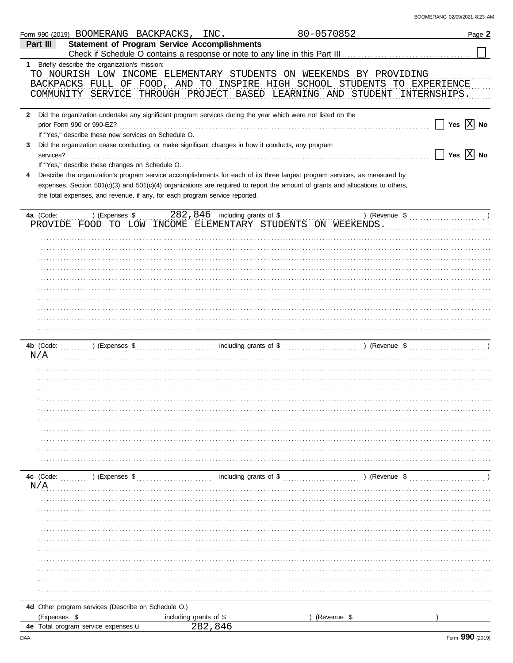| BOOMERANG 02/09/2021 8:23 AM |  |  |
|------------------------------|--|--|
|                              |  |  |

|                  | Form 990 (2019) BOOMERANG BACKPACKS, INC.                                         |                                                                                                                                                                                                                                                                                                                                             | 80-0570852  |               | Page 2                   |
|------------------|-----------------------------------------------------------------------------------|---------------------------------------------------------------------------------------------------------------------------------------------------------------------------------------------------------------------------------------------------------------------------------------------------------------------------------------------|-------------|---------------|--------------------------|
| Part III         |                                                                                   | <b>Statement of Program Service Accomplishments</b>                                                                                                                                                                                                                                                                                         |             |               |                          |
|                  | 1 Briefly describe the organization's mission:                                    | TO NOURISH LOW INCOME ELEMENTARY STUDENTS ON WEEKENDS BY PROVIDING<br>BACKPACKS FULL OF FOOD, AND TO INSPIRE HIGH SCHOOL STUDENTS TO EXPERIENCE<br>COMMUNITY SERVICE THROUGH PROJECT BASED LEARNING AND STUDENT INTERNSHIPS.                                                                                                                |             |               |                          |
|                  | prior Form 990 or 990-EZ?<br>If "Yes," describe these new services on Schedule O. | 2 Did the organization undertake any significant program services during the year which were not listed on the                                                                                                                                                                                                                              |             |               | $ X $ No<br>Yes          |
| 3<br>services?   | If "Yes," describe these changes on Schedule O.                                   | Did the organization cease conducting, or make significant changes in how it conducts, any program                                                                                                                                                                                                                                          |             |               | $\overline{X}$ No<br>Yes |
| 4                |                                                                                   | Describe the organization's program service accomplishments for each of its three largest program services, as measured by<br>expenses. Section 501(c)(3) and 501(c)(4) organizations are required to report the amount of grants and allocations to others,<br>the total expenses, and revenue, if any, for each program service reported. |             |               |                          |
| 4a (Code:        |                                                                                   | ) (Expenses $\frac{1}{282,846}$ including grants of $\frac{1}{2}$<br>PROVIDE FOOD TO LOW INCOME ELEMENTARY STUDENTS ON WEEKENDS.                                                                                                                                                                                                            |             | ) (Revenue \$ |                          |
|                  |                                                                                   |                                                                                                                                                                                                                                                                                                                                             |             |               |                          |
|                  |                                                                                   |                                                                                                                                                                                                                                                                                                                                             |             |               |                          |
|                  |                                                                                   |                                                                                                                                                                                                                                                                                                                                             |             |               |                          |
|                  |                                                                                   |                                                                                                                                                                                                                                                                                                                                             |             |               |                          |
| N/A              |                                                                                   |                                                                                                                                                                                                                                                                                                                                             |             |               |                          |
|                  |                                                                                   |                                                                                                                                                                                                                                                                                                                                             |             |               |                          |
|                  |                                                                                   |                                                                                                                                                                                                                                                                                                                                             |             |               |                          |
|                  |                                                                                   |                                                                                                                                                                                                                                                                                                                                             |             |               |                          |
| 4c (Code:<br>N/A | ) (Expenses \$                                                                    | including grants of \$                                                                                                                                                                                                                                                                                                                      |             | ) (Revenue \$ |                          |
|                  |                                                                                   |                                                                                                                                                                                                                                                                                                                                             |             |               |                          |
|                  |                                                                                   |                                                                                                                                                                                                                                                                                                                                             |             |               |                          |
|                  |                                                                                   |                                                                                                                                                                                                                                                                                                                                             |             |               |                          |
|                  | 4d Other program services (Describe on Schedule O.)                               |                                                                                                                                                                                                                                                                                                                                             |             |               |                          |
|                  | (Expenses \$<br>4e Total program service expenses u                               | including grants of \$<br>282,846                                                                                                                                                                                                                                                                                                           | (Revenue \$ |               |                          |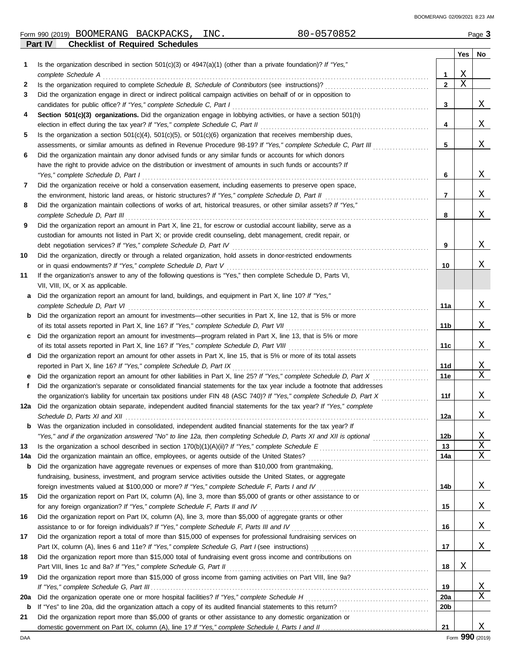| $CUT$ $D \wedge CUT$<br><b>BOOMERANG</b><br>Form 990<br>(2019)<br>BACKPACKS | $\mathbf{a} \mathbf{a} = \mathbf{a}$<br>INC.<br>י י<br>R<br>. –<br>OU<br>∪⊖⊃∠ | Page |
|-----------------------------------------------------------------------------|-------------------------------------------------------------------------------|------|
|-----------------------------------------------------------------------------|-------------------------------------------------------------------------------|------|

**Part IV Checklist of Required Schedules**

|     |                                                                                                                                                                                                                |                 | Yes | No |
|-----|----------------------------------------------------------------------------------------------------------------------------------------------------------------------------------------------------------------|-----------------|-----|----|
| 1   | Is the organization described in section $501(c)(3)$ or $4947(a)(1)$ (other than a private foundation)? If "Yes,"                                                                                              |                 |     |    |
|     | complete Schedule A                                                                                                                                                                                            | 1               | Χ   |    |
| 2   |                                                                                                                                                                                                                | $\mathbf{2}$    | Χ   |    |
| 3   | Did the organization engage in direct or indirect political campaign activities on behalf of or in opposition to<br>candidates for public office? If "Yes," complete Schedule C, Part I                        |                 |     | Χ  |
| 4   | Section 501(c)(3) organizations. Did the organization engage in lobbying activities, or have a section 501(h)                                                                                                  | 3               |     |    |
|     | election in effect during the tax year? If "Yes," complete Schedule C, Part II                                                                                                                                 | 4               |     | Χ  |
| 5   | Is the organization a section $501(c)(4)$ , $501(c)(5)$ , or $501(c)(6)$ organization that receives membership dues,                                                                                           |                 |     |    |
|     | assessments, or similar amounts as defined in Revenue Procedure 98-19? If "Yes," complete Schedule C, Part III                                                                                                 | 5               |     | Χ  |
| 6   | Did the organization maintain any donor advised funds or any similar funds or accounts for which donors                                                                                                        |                 |     |    |
|     | have the right to provide advice on the distribution or investment of amounts in such funds or accounts? If                                                                                                    |                 |     |    |
|     | "Yes," complete Schedule D, Part I                                                                                                                                                                             | 6               |     | Χ  |
| 7   | Did the organization receive or hold a conservation easement, including easements to preserve open space,                                                                                                      |                 |     |    |
|     | the environment, historic land areas, or historic structures? If "Yes," complete Schedule D, Part II                                                                                                           | 7               |     | Χ  |
| 8   | Did the organization maintain collections of works of art, historical treasures, or other similar assets? If "Yes,"                                                                                            |                 |     |    |
|     | complete Schedule D, Part III                                                                                                                                                                                  | 8               |     | Χ  |
| 9   | Did the organization report an amount in Part X, line 21, for escrow or custodial account liability, serve as a                                                                                                |                 |     |    |
|     | custodian for amounts not listed in Part X; or provide credit counseling, debt management, credit repair, or                                                                                                   |                 |     |    |
|     | debt negotiation services? If "Yes," complete Schedule D, Part IV                                                                                                                                              | 9               |     | Χ  |
| 10  | Did the organization, directly or through a related organization, hold assets in donor-restricted endowments                                                                                                   |                 |     |    |
|     | or in quasi endowments? If "Yes," complete Schedule D, Part V                                                                                                                                                  | 10              |     | Χ  |
| 11  | If the organization's answer to any of the following questions is "Yes," then complete Schedule D, Parts VI,                                                                                                   |                 |     |    |
|     | VII, VIII, IX, or X as applicable.                                                                                                                                                                             |                 |     |    |
| a   | Did the organization report an amount for land, buildings, and equipment in Part X, line 10? If "Yes,"                                                                                                         |                 |     |    |
|     | complete Schedule D, Part VI                                                                                                                                                                                   | 11a             |     | Χ  |
| b   | Did the organization report an amount for investments—other securities in Part X, line 12, that is 5% or more                                                                                                  |                 |     |    |
|     | of its total assets reported in Part X, line 16? If "Yes," complete Schedule D, Part VII                                                                                                                       | 11b             |     | Χ  |
| c   | Did the organization report an amount for investments—program related in Part X, line 13, that is 5% or more                                                                                                   |                 |     | Χ  |
|     | of its total assets reported in Part X, line 16? If "Yes," complete Schedule D, Part VIII<br>Did the organization report an amount for other assets in Part X, line 15, that is 5% or more of its total assets | 11c             |     |    |
| d   | reported in Part X, line 16? If "Yes," complete Schedule D, Part IX                                                                                                                                            | 11d             |     | Χ  |
| е   | Did the organization report an amount for other liabilities in Part X, line 25? If "Yes," complete Schedule D, Part X                                                                                          | 11e             |     | Χ  |
| f   | Did the organization's separate or consolidated financial statements for the tax year include a footnote that addresses                                                                                        |                 |     |    |
|     | the organization's liability for uncertain tax positions under FIN 48 (ASC 740)? If "Yes," complete Schedule D, Part X                                                                                         | 11f             |     | Χ  |
| 12a | Did the organization obtain separate, independent audited financial statements for the tax year? If "Yes," complete                                                                                            |                 |     |    |
|     |                                                                                                                                                                                                                | 12a             |     | Χ  |
|     | <b>b</b> Was the organization included in consolidated, independent audited financial statements for the tax year? If                                                                                          |                 |     |    |
|     |                                                                                                                                                                                                                | 12 <sub>b</sub> |     | Χ  |
| 13  |                                                                                                                                                                                                                | 13              |     | Χ  |
| 14a |                                                                                                                                                                                                                | 14a             |     | Χ  |
| b   | Did the organization have aggregate revenues or expenses of more than \$10,000 from grantmaking,                                                                                                               |                 |     |    |
|     | fundraising, business, investment, and program service activities outside the United States, or aggregate                                                                                                      |                 |     |    |
|     |                                                                                                                                                                                                                | 14b             |     | X  |
| 15  | Did the organization report on Part IX, column (A), line 3, more than \$5,000 of grants or other assistance to or                                                                                              |                 |     |    |
|     | for any foreign organization? If "Yes," complete Schedule F, Parts II and IV                                                                                                                                   | 15              |     | X  |
| 16  | Did the organization report on Part IX, column (A), line 3, more than \$5,000 of aggregate grants or other                                                                                                     |                 |     |    |
|     | assistance to or for foreign individuals? If "Yes," complete Schedule F, Parts III and IV [[[[[[[[[[[[[[[[[[[                                                                                                  | 16              |     | X  |
| 17  | Did the organization report a total of more than \$15,000 of expenses for professional fundraising services on                                                                                                 | 17              |     | X  |
| 18  | Did the organization report more than \$15,000 total of fundraising event gross income and contributions on                                                                                                    |                 |     |    |
|     | Part VIII, lines 1c and 8a? If "Yes," complete Schedule G, Part II [11] [12] [2] [2] [2] [2] [2] [3] [3] [3] [                                                                                                 | 18              | Χ   |    |
| 19  | Did the organization report more than \$15,000 of gross income from gaming activities on Part VIII, line 9a?                                                                                                   |                 |     |    |
|     |                                                                                                                                                                                                                | 19              |     | X  |
| 20a |                                                                                                                                                                                                                | 20a             |     | Χ  |
| b   |                                                                                                                                                                                                                | <b>20b</b>      |     |    |
| 21  | Did the organization report more than \$5,000 of grants or other assistance to any domestic organization or                                                                                                    |                 |     |    |
|     |                                                                                                                                                                                                                | 21              |     | Χ  |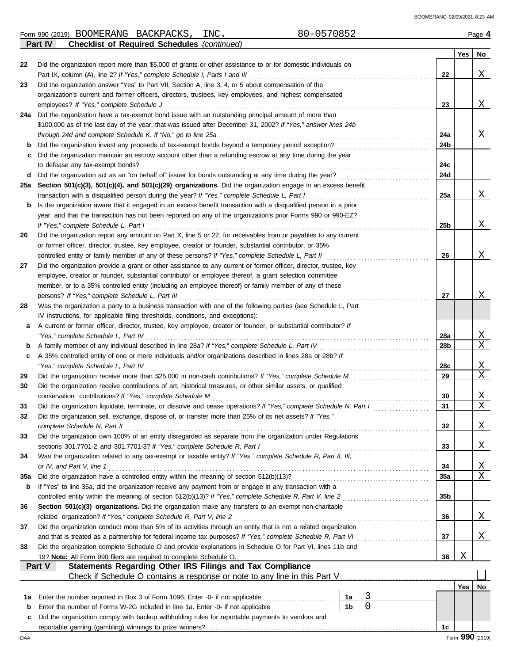|     | Part IV<br><b>Checklist of Required Schedules (continued)</b>                                                                                 |                 |     |    |
|-----|-----------------------------------------------------------------------------------------------------------------------------------------------|-----------------|-----|----|
|     |                                                                                                                                               |                 | Yes | No |
| 22  | Did the organization report more than \$5,000 of grants or other assistance to or for domestic individuals on                                 |                 |     |    |
|     | Part IX, column (A), line 2? If "Yes," complete Schedule I, Parts I and III                                                                   | 22              |     | Χ  |
| 23  | Did the organization answer "Yes" to Part VII, Section A, line 3, 4, or 5 about compensation of the                                           |                 |     |    |
|     | organization's current and former officers, directors, trustees, key employees, and highest compensated                                       |                 |     |    |
|     | employees? If "Yes," complete Schedule J                                                                                                      | 23              |     | Χ  |
| 24a | Did the organization have a tax-exempt bond issue with an outstanding principal amount of more than                                           |                 |     |    |
|     | \$100,000 as of the last day of the year, that was issued after December 31, 2002? If "Yes," answer lines 24b                                 |                 |     |    |
|     | through 24d and complete Schedule K. If "No," go to line 25a                                                                                  | 24a             |     | X  |
| b   | Did the organization invest any proceeds of tax-exempt bonds beyond a temporary period exception?                                             | 24b             |     |    |
| с   | Did the organization maintain an escrow account other than a refunding escrow at any time during the year<br>to defease any tax-exempt bonds? | 24c             |     |    |
| d   |                                                                                                                                               | 24d             |     |    |
| 25a | Section 501(c)(3), 501(c)(4), and 501(c)(29) organizations. Did the organization engage in an excess benefit                                  |                 |     |    |
|     | transaction with a disqualified person during the year? If "Yes," complete Schedule L, Part I                                                 | 25a             |     | Χ  |
| b   | Is the organization aware that it engaged in an excess benefit transaction with a disqualified person in a prior                              |                 |     |    |
|     | year, and that the transaction has not been reported on any of the organization's prior Forms 990 or 990-EZ?                                  |                 |     |    |
|     | If "Yes," complete Schedule L, Part I                                                                                                         | 25 <sub>b</sub> |     | Χ  |
| 26  | Did the organization report any amount on Part X, line 5 or 22, for receivables from or payables to any current                               |                 |     |    |
|     | or former officer, director, trustee, key employee, creator or founder, substantial contributor, or 35%                                       |                 |     |    |
|     | controlled entity or family member of any of these persons? If "Yes," complete Schedule L, Part II                                            | 26              |     | Χ  |
| 27  | Did the organization provide a grant or other assistance to any current or former officer, director, trustee, key                             |                 |     |    |
|     | employee, creator or founder, substantial contributor or employee thereof, a grant selection committee                                        |                 |     |    |
|     | member, or to a 35% controlled entity (including an employee thereof) or family member of any of these                                        |                 |     |    |
|     | persons? If "Yes," complete Schedule L, Part III                                                                                              | 27              |     | Χ  |
| 28  | Was the organization a party to a business transaction with one of the following parties (see Schedule L, Part                                |                 |     |    |
|     | IV instructions, for applicable filing thresholds, conditions, and exceptions):                                                               |                 |     |    |
| а   | A current or former officer, director, trustee, key employee, creator or founder, or substantial contributor? If                              |                 |     |    |
|     | "Yes," complete Schedule L, Part IV                                                                                                           | 28a             |     | X  |
| b   | A family member of any individual described in line 28a? If "Yes," complete Schedule L, Part IV                                               | 28b             |     | X  |
| c   | A 35% controlled entity of one or more individuals and/or organizations described in lines 28a or 28b? If                                     |                 |     |    |
|     | "Yes," complete Schedule L, Part IV                                                                                                           | 28c             |     | Χ  |
| 29  |                                                                                                                                               | 29              |     | Χ  |
| 30  | Did the organization receive contributions of art, historical treasures, or other similar assets, or qualified                                |                 |     |    |
|     | conservation contributions? If "Yes," complete Schedule M                                                                                     | 30              |     | X  |
| 31  | Did the organization liquidate, terminate, or dissolve and cease operations? If "Yes," complete Schedule N, Part I                            | 31              |     | Χ  |
| 32  | Did the organization sell, exchange, dispose of, or transfer more than 25% of its net assets? If "Yes,"                                       |                 |     |    |
|     | complete Schedule N, Part II                                                                                                                  | 32              |     | Χ  |
| 33  | Did the organization own 100% of an entity disregarded as separate from the organization under Regulations                                    |                 |     |    |
|     | sections 301.7701-2 and 301.7701-3? If "Yes," complete Schedule R, Part I                                                                     | 33              |     | X  |
| 34  | Was the organization related to any tax-exempt or taxable entity? If "Yes," complete Schedule R, Part II, III,                                |                 |     |    |
|     | or IV, and Part V, line 1                                                                                                                     | 34              |     | Χ  |
| 35a |                                                                                                                                               | <b>35a</b>      |     | X  |
| b   | If "Yes" to line 35a, did the organization receive any payment from or engage in any transaction with a                                       |                 |     |    |
|     | controlled entity within the meaning of section 512(b)(13)? If "Yes," complete Schedule R, Part V, line 2                                     | 35 <sub>b</sub> |     |    |
| 36  | Section 501(c)(3) organizations. Did the organization make any transfers to an exempt non-charitable                                          |                 |     |    |
|     | related organization? If "Yes," complete Schedule R, Part V, line 2                                                                           | 36              |     | X  |
| 37  | Did the organization conduct more than 5% of its activities through an entity that is not a related organization                              |                 |     |    |
|     | and that is treated as a partnership for federal income tax purposes? If "Yes," complete Schedule R, Part VI                                  | 37              |     | X  |
| 38  | Did the organization complete Schedule O and provide explanations in Schedule O for Part VI, lines 11b and                                    |                 |     |    |
|     | 19? Note: All Form 990 filers are required to complete Schedule O.                                                                            | 38              | Χ   |    |
|     | Statements Regarding Other IRS Filings and Tax Compliance<br>Part V                                                                           |                 |     |    |
|     |                                                                                                                                               |                 |     |    |
|     |                                                                                                                                               |                 | Yes | No |
| 1а  | $\overline{3}$<br>Enter the number reported in Box 3 of Form 1096. Enter -0- if not applicable<br>1a<br>$\mathbf 0$<br>1 <sub>b</sub>         |                 |     |    |
| b   | Enter the number of Forms W-2G included in line 1a. Enter -0- if not applicable                                                               |                 |     |    |
| c   | Did the organization comply with backup withholding rules for reportable payments to vendors and                                              | 1c              |     |    |
|     |                                                                                                                                               |                 |     |    |

Form 990 (2019) Page **4**

BOOMERANG BACKPACKS, INC. 80-0570852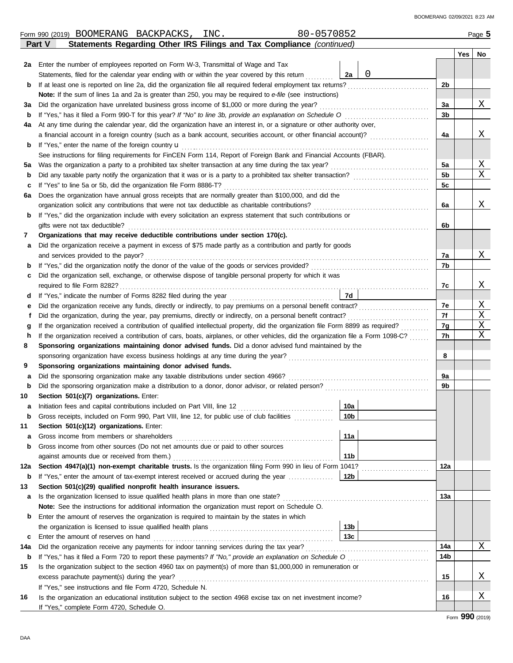|     | Statements Regarding Other IRS Filings and Tax Compliance (continued)<br>Part V                                                                                             |                 |   |          |     |        |
|-----|-----------------------------------------------------------------------------------------------------------------------------------------------------------------------------|-----------------|---|----------|-----|--------|
|     |                                                                                                                                                                             |                 |   |          | Yes | No     |
| 2a  | Enter the number of employees reported on Form W-3, Transmittal of Wage and Tax                                                                                             |                 |   |          |     |        |
|     | Statements, filed for the calendar year ending with or within the year covered by this return                                                                               | 2a              | 0 |          |     |        |
| b   | If at least one is reported on line 2a, did the organization file all required federal employment tax returns?                                                              |                 |   | 2b       |     |        |
|     | Note: If the sum of lines 1a and 2a is greater than 250, you may be required to e-file (see instructions)                                                                   |                 |   |          |     |        |
| за  | Did the organization have unrelated business gross income of \$1,000 or more during the year?                                                                               |                 |   | За       |     | Χ      |
| b   |                                                                                                                                                                             |                 |   | 3b       |     |        |
| 4a  | At any time during the calendar year, did the organization have an interest in, or a signature or other authority over,                                                     |                 |   |          |     |        |
|     | a financial account in a foreign country (such as a bank account, securities account, or other financial account)?                                                          |                 |   | 4a       |     | Χ      |
| b   | If "Yes," enter the name of the foreign country <b>u</b>                                                                                                                    |                 |   |          |     |        |
|     | See instructions for filing requirements for FinCEN Form 114, Report of Foreign Bank and Financial Accounts (FBAR).                                                         |                 |   |          |     |        |
| 5а  |                                                                                                                                                                             |                 |   | 5a<br>5b |     | X<br>Χ |
| b   |                                                                                                                                                                             |                 |   | 5c       |     |        |
| c   | If "Yes" to line 5a or 5b, did the organization file Form 8886-T?<br>Does the organization have annual gross receipts that are normally greater than \$100,000, and did the |                 |   |          |     |        |
| 6а  | organization solicit any contributions that were not tax deductible as charitable contributions?                                                                            |                 |   | 6a       |     | Χ      |
| b   | If "Yes," did the organization include with every solicitation an express statement that such contributions or                                                              |                 |   |          |     |        |
|     | gifts were not tax deductible?                                                                                                                                              |                 |   | 6b       |     |        |
| 7   | Organizations that may receive deductible contributions under section 170(c).                                                                                               |                 |   |          |     |        |
| а   | Did the organization receive a payment in excess of \$75 made partly as a contribution and partly for goods                                                                 |                 |   |          |     |        |
|     | and services provided to the payor?                                                                                                                                         |                 |   | 7a       |     | Χ      |
| b   |                                                                                                                                                                             |                 |   | 7b       |     |        |
| c   | Did the organization sell, exchange, or otherwise dispose of tangible personal property for which it was                                                                    |                 |   |          |     |        |
|     |                                                                                                                                                                             |                 |   | 7с       |     | Χ      |
| a   |                                                                                                                                                                             | 7d              |   |          |     |        |
| е   |                                                                                                                                                                             |                 |   | 7е       |     | Χ      |
| f   | Did the organization, during the year, pay premiums, directly or indirectly, on a personal benefit contract?                                                                |                 |   | 7f       |     | Χ      |
| g   | If the organization received a contribution of qualified intellectual property, did the organization file Form 8899 as required?                                            |                 |   | 7g       |     | Χ      |
| h   | If the organization received a contribution of cars, boats, airplanes, or other vehicles, did the organization file a Form 1098-C?                                          |                 |   | 7h       |     | Χ      |
| 8   | Sponsoring organizations maintaining donor advised funds. Did a donor advised fund maintained by the                                                                        |                 |   |          |     |        |
|     |                                                                                                                                                                             |                 |   | 8        |     |        |
| 9   | Sponsoring organizations maintaining donor advised funds.                                                                                                                   |                 |   |          |     |        |
| а   | Did the sponsoring organization make any taxable distributions under section 4966?                                                                                          |                 |   | 9a       |     |        |
| b   |                                                                                                                                                                             |                 |   | 9b       |     |        |
| 10  | Section 501(c)(7) organizations. Enter:                                                                                                                                     |                 |   |          |     |        |
| а   |                                                                                                                                                                             | 10a             |   |          |     |        |
|     | Gross receipts, included on Form 990, Part VIII, line 12, for public use of club facilities                                                                                 | 10 <sub>b</sub> |   |          |     |        |
| 11  | Section 501(c)(12) organizations. Enter:                                                                                                                                    |                 |   |          |     |        |
| а   | Gross income from members or shareholders                                                                                                                                   | 11a             |   |          |     |        |
| b   | Gross income from other sources (Do not net amounts due or paid to other sources                                                                                            |                 |   |          |     |        |
| 12a | Section 4947(a)(1) non-exempt charitable trusts. Is the organization filing Form 990 in lieu of Form 1041?                                                                  | 11 <sub>b</sub> |   | 12a      |     |        |
| b   | If "Yes," enter the amount of tax-exempt interest received or accrued during the year <i>conservances</i>                                                                   | 12b             |   |          |     |        |
| 13  | Section 501(c)(29) qualified nonprofit health insurance issuers.                                                                                                            |                 |   |          |     |        |
| а   | Is the organization licensed to issue qualified health plans in more than one state?                                                                                        |                 |   | 13а      |     |        |
|     | Note: See the instructions for additional information the organization must report on Schedule O.                                                                           |                 |   |          |     |        |
| b   | Enter the amount of reserves the organization is required to maintain by the states in which                                                                                |                 |   |          |     |        |
|     |                                                                                                                                                                             | 13b             |   |          |     |        |
| c   | Enter the amount of reserves on hand                                                                                                                                        | 13 <sub>c</sub> |   |          |     |        |
| 14a | Did the organization receive any payments for indoor tanning services during the tax year?                                                                                  |                 |   | 14a      |     | Χ      |
| b   |                                                                                                                                                                             |                 |   | 14b      |     |        |
| 15  | Is the organization subject to the section 4960 tax on payment(s) of more than \$1,000,000 in remuneration or                                                               |                 |   |          |     |        |
|     | excess parachute payment(s) during the year?                                                                                                                                |                 |   | 15       |     | X      |
|     | If "Yes," see instructions and file Form 4720, Schedule N.                                                                                                                  |                 |   |          |     |        |
| 16  | Is the organization an educational institution subject to the section 4968 excise tax on net investment income?                                                             |                 |   | 16       |     | Χ      |
|     | If "Yes," complete Form 4720, Schedule O.                                                                                                                                   |                 |   |          |     |        |

Form 990 (2019) Page **5** BOOMERANG BACKPACKS, INC. 80-0570852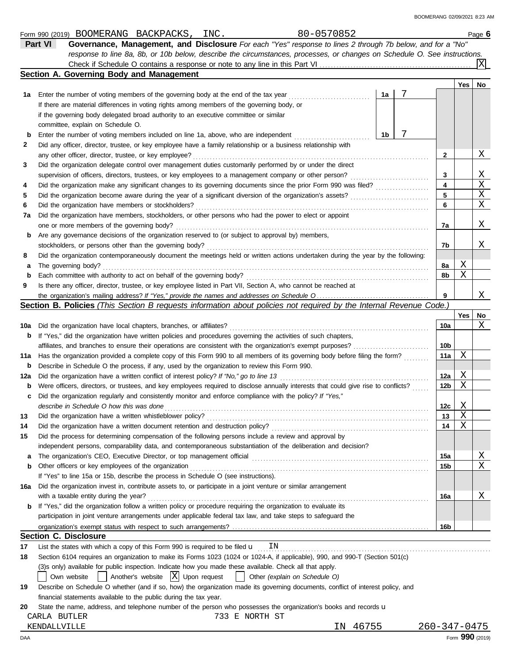|     | response to line 8a, 8b, or 10b below, describe the circumstances, processes, or changes on Schedule O. See instructions.           |                         |                 |    |
|-----|-------------------------------------------------------------------------------------------------------------------------------------|-------------------------|-----------------|----|
|     |                                                                                                                                     |                         |                 |    |
|     | Section A. Governing Body and Management                                                                                            |                         |                 |    |
|     |                                                                                                                                     |                         | Yes             | No |
| 1а  | 7<br>Enter the number of voting members of the governing body at the end of the tax year<br>1a                                      |                         |                 |    |
|     | If there are material differences in voting rights among members of the governing body, or                                          |                         |                 |    |
|     | if the governing body delegated broad authority to an executive committee or similar                                                |                         |                 |    |
|     | committee, explain on Schedule O.                                                                                                   |                         |                 |    |
| b   | 7<br>1b<br>Enter the number of voting members included on line 1a, above, who are independent                                       |                         |                 |    |
| 2   | Did any officer, director, trustee, or key employee have a family relationship or a business relationship with                      |                         |                 |    |
|     | any other officer, director, trustee, or key employee?                                                                              | $\mathbf{2}$            |                 | Χ  |
| 3   | Did the organization delegate control over management duties customarily performed by or under the direct                           |                         |                 |    |
|     | supervision of officers, directors, trustees, or key employees to a management company or other person?                             | 3                       |                 | Χ  |
| 4   | Did the organization make any significant changes to its governing documents since the prior Form 990 was filed?                    | $\overline{\mathbf{4}}$ |                 | Χ  |
| 5   | Did the organization become aware during the year of a significant diversion of the organization's assets?                          | 5                       |                 | X  |
| 6   | Did the organization have members or stockholders?                                                                                  | 6                       |                 | Χ  |
| 7a  | Did the organization have members, stockholders, or other persons who had the power to elect or appoint                             |                         |                 |    |
|     | one or more members of the governing body?                                                                                          | 7a                      |                 | Χ  |
| b   | Are any governance decisions of the organization reserved to (or subject to approval by) members,                                   |                         |                 |    |
|     | stockholders, or persons other than the governing body?                                                                             | 7b                      |                 | Χ  |
| 8   | Did the organization contemporaneously document the meetings held or written actions undertaken during the year by the following:   |                         |                 |    |
| а   | The governing body?                                                                                                                 | 8а                      | Χ               |    |
| b   | Each committee with authority to act on behalf of the governing body?                                                               | 8b                      | Χ               |    |
| 9   | Is there any officer, director, trustee, or key employee listed in Part VII, Section A, who cannot be reached at                    |                         |                 |    |
|     |                                                                                                                                     | 9                       |                 | Χ  |
|     | <b>Section B. Policies</b> (This Section B requests information about policies not required by the Internal Revenue Code.)          |                         |                 |    |
|     |                                                                                                                                     |                         | Yes             | No |
| 10a | Did the organization have local chapters, branches, or affiliates?                                                                  | 10a                     |                 | Χ  |
| b   | If "Yes," did the organization have written policies and procedures governing the activities of such chapters,                      |                         |                 |    |
|     | affiliates, and branches to ensure their operations are consistent with the organization's exempt purposes?                         | 10b                     |                 |    |
| 11a | Has the organization provided a complete copy of this Form 990 to all members of its governing body before filing the form?         | 11a                     | Χ               |    |
| b   | Describe in Schedule O the process, if any, used by the organization to review this Form 990.                                       |                         |                 |    |
| 12a | Did the organization have a written conflict of interest policy? If "No," go to line 13                                             | 12a                     | Χ               |    |
| b   | Were officers, directors, or trustees, and key employees required to disclose annually interests that could give rise to conflicts? | 12b                     | X               |    |
| c   | Did the organization regularly and consistently monitor and enforce compliance with the policy? If "Yes,"                           |                         |                 |    |
|     | describe in Schedule O how this was done                                                                                            | 12c                     | Χ               |    |
| 13  |                                                                                                                                     | 13                      | Χ               |    |
| 14  | Did the organization have a written document retention and destruction policy?                                                      | 14                      | $\mathbf X$     |    |
| 15  | Did the process for determining compensation of the following persons include a review and approval by                              |                         |                 |    |
|     | independent persons, comparability data, and contemporaneous substantiation of the deliberation and decision?                       |                         |                 |    |
| a   |                                                                                                                                     | 15a                     |                 | X  |
| b   | Other officers or key employees of the organization                                                                                 | 15 <sub>b</sub>         |                 | Χ  |
|     | If "Yes" to line 15a or 15b, describe the process in Schedule O (see instructions).                                                 |                         |                 |    |
| 16a | Did the organization invest in, contribute assets to, or participate in a joint venture or similar arrangement                      |                         |                 |    |
|     | with a taxable entity during the year?                                                                                              | 16a                     |                 | Χ  |
| b   | If "Yes," did the organization follow a written policy or procedure requiring the organization to evaluate its                      |                         |                 |    |
|     | participation in joint venture arrangements under applicable federal tax law, and take steps to safeguard the                       |                         |                 |    |
|     |                                                                                                                                     | 16b                     |                 |    |
|     | <b>Section C. Disclosure</b>                                                                                                        |                         |                 |    |
| 17  | List the states with which a copy of this Form 990 is required to be filed $\mathbf u$<br>ΙN                                        |                         |                 |    |
| 18  | Section 6104 requires an organization to make its Forms 1023 (1024 or 1024-A, if applicable), 990, and 990-T (Section 501(c)        |                         |                 |    |
|     | (3)s only) available for public inspection. Indicate how you made these available. Check all that apply.                            |                         |                 |    |
|     | Another's website $ X $ Upon request<br>Other (explain on Schedule O)<br>Own website                                                |                         |                 |    |
| 19  | Describe on Schedule O whether (and if so, how) the organization made its governing documents, conflict of interest policy, and     |                         |                 |    |
|     | financial statements available to the public during the tax year.                                                                   |                         |                 |    |
| 20  | State the name, address, and telephone number of the person who possesses the organization's books and records u                    |                         |                 |    |
|     | 733 E NORTH ST<br>CARLA BUTLER                                                                                                      |                         |                 |    |
|     | 46755<br>KENDALLVILLE<br>ΙN                                                                                                         | $260 - 347 - 0475$      |                 |    |
| DAA |                                                                                                                                     |                         | Form 990 (2019) |    |

Form 990 (2019) Page **6** BOOMERANG BACKPACKS, INC. 80-0570852 **Part VI Governance, Management, and Disclosure** *For each "Yes" response to lines 2 through 7b below, and for a "No"*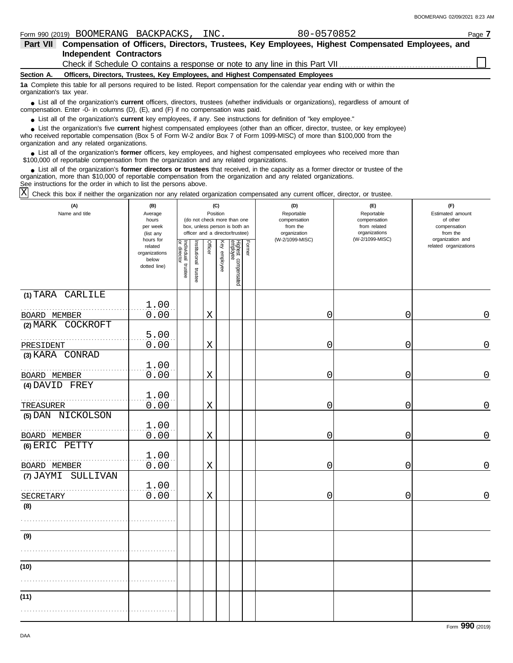|                                                                                                                                                                                                                                                                                                                               |                                                                                                                    |                                   |                                                                                                                                     |                                    |                                           |                                                                                                  |                                                                                       | BOOMERANG 02/09/2021 8:23 AM                                                                                 |
|-------------------------------------------------------------------------------------------------------------------------------------------------------------------------------------------------------------------------------------------------------------------------------------------------------------------------------|--------------------------------------------------------------------------------------------------------------------|-----------------------------------|-------------------------------------------------------------------------------------------------------------------------------------|------------------------------------|-------------------------------------------|--------------------------------------------------------------------------------------------------|---------------------------------------------------------------------------------------|--------------------------------------------------------------------------------------------------------------|
| Form 990 (2019) BOOMERANG BACKPACKS,                                                                                                                                                                                                                                                                                          |                                                                                                                    |                                   | INC.                                                                                                                                |                                    |                                           | 80-0570852                                                                                       |                                                                                       | Page 7                                                                                                       |
| Part VII                                                                                                                                                                                                                                                                                                                      |                                                                                                                    |                                   |                                                                                                                                     |                                    |                                           | Compensation of Officers, Directors, Trustees, Key Employees, Highest Compensated Employees, and |                                                                                       |                                                                                                              |
| <b>Independent Contractors</b>                                                                                                                                                                                                                                                                                                |                                                                                                                    |                                   |                                                                                                                                     |                                    |                                           |                                                                                                  |                                                                                       |                                                                                                              |
|                                                                                                                                                                                                                                                                                                                               |                                                                                                                    |                                   |                                                                                                                                     |                                    |                                           | Check if Schedule O contains a response or note to any line in this Part VII                     |                                                                                       |                                                                                                              |
| Section A.                                                                                                                                                                                                                                                                                                                    |                                                                                                                    |                                   |                                                                                                                                     |                                    |                                           | Officers, Directors, Trustees, Key Employees, and Highest Compensated Employees                  |                                                                                       |                                                                                                              |
| 1a Complete this table for all persons required to be listed. Report compensation for the calendar year ending with or within the<br>organization's tax year.                                                                                                                                                                 |                                                                                                                    |                                   |                                                                                                                                     |                                    |                                           |                                                                                                  |                                                                                       |                                                                                                              |
| • List all of the organization's <b>current</b> officers, directors, trustees (whether individuals or organizations), regardless of amount of<br>compensation. Enter -0- in columns (D), (E), and (F) if no compensation was paid.                                                                                            |                                                                                                                    |                                   |                                                                                                                                     |                                    |                                           |                                                                                                  |                                                                                       |                                                                                                              |
| • List all of the organization's current key employees, if any. See instructions for definition of "key employee."                                                                                                                                                                                                            |                                                                                                                    |                                   |                                                                                                                                     |                                    |                                           |                                                                                                  |                                                                                       |                                                                                                              |
| List the organization's five current highest compensated employees (other than an officer, director, trustee, or key employee)<br>who received reportable compensation (Box 5 of Form W-2 and/or Box 7 of Form 1099-MISC) of more than \$100,000 from the<br>organization and any related organizations.                      |                                                                                                                    |                                   |                                                                                                                                     |                                    |                                           |                                                                                                  |                                                                                       |                                                                                                              |
| • List all of the organization's former officers, key employees, and highest compensated employees who received more than<br>\$100,000 of reportable compensation from the organization and any related organizations.                                                                                                        |                                                                                                                    |                                   |                                                                                                                                     |                                    |                                           |                                                                                                  |                                                                                       |                                                                                                              |
| • List all of the organization's former directors or trustees that received, in the capacity as a former director or trustee of the<br>organization, more than \$10,000 of reportable compensation from the organization and any related organizations.<br>See instructions for the order in which to list the persons above. |                                                                                                                    |                                   |                                                                                                                                     |                                    |                                           |                                                                                                  |                                                                                       |                                                                                                              |
| $\overline{\mathrm{X}}$<br>Check this box if neither the organization nor any related organization compensated any current officer, director, or trustee.                                                                                                                                                                     |                                                                                                                    |                                   |                                                                                                                                     |                                    |                                           |                                                                                                  |                                                                                       |                                                                                                              |
| (A)<br>Name and title                                                                                                                                                                                                                                                                                                         | (B)<br>Average<br>hours<br>per week<br>(list any<br>hours for<br>related<br>organizations<br>below<br>dotted line) | Individual trustee<br>or director | (do not check more than one<br>box, unless person is both an<br>officer and a director/trustee)<br>Officer<br>Institutional trustee | (C)<br>Position<br>Key<br>employee | Highest compensated<br>employee<br>Former | (D)<br>Reportable<br>compensation<br>from the<br>organization<br>(W-2/1099-MISC)                 | (E)<br>Reportable<br>compensation<br>from related<br>organizations<br>(W-2/1099-MISC) | (F)<br>Estimated amount<br>of other<br>compensation<br>from the<br>organization and<br>related organizations |
| CARLILE<br>$(1)$ TARA                                                                                                                                                                                                                                                                                                         | nn.<br>1                                                                                                           |                                   |                                                                                                                                     |                                    |                                           |                                                                                                  |                                                                                       |                                                                                                              |

|                    | hours<br>per week<br>(list any<br>hours for       |                                   |                       |             |              | (do not check more than one<br>box, unless person is both an<br>officer and a director/trustee) |        | compensation<br>from the<br>organization<br>(W-2/1099-MISC) | compensation<br>from related<br>organizations<br>(W-2/1099-MISC) | of other<br>compensation<br>from the<br>organization and |
|--------------------|---------------------------------------------------|-----------------------------------|-----------------------|-------------|--------------|-------------------------------------------------------------------------------------------------|--------|-------------------------------------------------------------|------------------------------------------------------------------|----------------------------------------------------------|
|                    | related<br>organizations<br>below<br>dotted line) | Individual trustee<br>or director | Institutional trustee | Officer     | Key employee | Highest compensated<br>employee                                                                 | Former |                                                             |                                                                  | related organizations                                    |
| (1) TARA CARLILE   | 1.00                                              |                                   |                       |             |              |                                                                                                 |        |                                                             |                                                                  |                                                          |
| BOARD MEMBER       | 0.00                                              |                                   |                       | $\mathbf X$ |              |                                                                                                 |        | $\overline{0}$                                              | $\mathsf 0$                                                      | $\mathbf 0$                                              |
| (2) MARK COCKROFT  | 5.00                                              |                                   |                       |             |              |                                                                                                 |        |                                                             |                                                                  |                                                          |
| PRESIDENT          | 0.00                                              |                                   |                       | $\mathbf X$ |              |                                                                                                 |        | 0                                                           | 0                                                                | $\mathbf 0$                                              |
| (3) KARA CONRAD    | 1.00                                              |                                   |                       |             |              |                                                                                                 |        |                                                             |                                                                  |                                                          |
| .<br>BOARD MEMBER  | 0.00                                              |                                   |                       | Χ           |              |                                                                                                 |        | 0                                                           | 0                                                                | $\mathbf 0$                                              |
| (4) DAVID FREY     |                                                   |                                   |                       |             |              |                                                                                                 |        |                                                             |                                                                  |                                                          |
| TREASURER          | 1.00<br>0.00                                      |                                   |                       | $\mathbf X$ |              |                                                                                                 |        | 0                                                           | 0                                                                | $\mathbf 0$                                              |
| (5) DAN NICKOLSON  |                                                   |                                   |                       |             |              |                                                                                                 |        |                                                             |                                                                  |                                                          |
| BOARD MEMBER       | 1.00<br>0.00                                      |                                   |                       | Χ           |              |                                                                                                 |        | 0                                                           | $\mathsf 0$                                                      | $\mathbf 0$                                              |
| (6) ERIC PETTY     |                                                   |                                   |                       |             |              |                                                                                                 |        |                                                             |                                                                  |                                                          |
| BOARD MEMBER       | 1.00<br>0.00                                      |                                   |                       | $\mathbf X$ |              |                                                                                                 |        | 0                                                           | $\Omega$                                                         | $\mathbf 0$                                              |
| (7) JAYMI SULLIVAN | 1.00                                              |                                   |                       |             |              |                                                                                                 |        |                                                             |                                                                  |                                                          |
| SECRETARY          | 0.00                                              |                                   |                       | $\mathbf X$ |              |                                                                                                 |        | 0                                                           | 0                                                                | $\mathbf 0$                                              |
| (8)                |                                                   |                                   |                       |             |              |                                                                                                 |        |                                                             |                                                                  |                                                          |
|                    |                                                   |                                   |                       |             |              |                                                                                                 |        |                                                             |                                                                  |                                                          |
| (9)                |                                                   |                                   |                       |             |              |                                                                                                 |        |                                                             |                                                                  |                                                          |
|                    |                                                   |                                   |                       |             |              |                                                                                                 |        |                                                             |                                                                  |                                                          |
| (10)               |                                                   |                                   |                       |             |              |                                                                                                 |        |                                                             |                                                                  |                                                          |
|                    |                                                   |                                   |                       |             |              |                                                                                                 |        |                                                             |                                                                  |                                                          |
| (11)               |                                                   |                                   |                       |             |              |                                                                                                 |        |                                                             |                                                                  |                                                          |
|                    |                                                   |                                   |                       |             |              |                                                                                                 |        |                                                             |                                                                  |                                                          |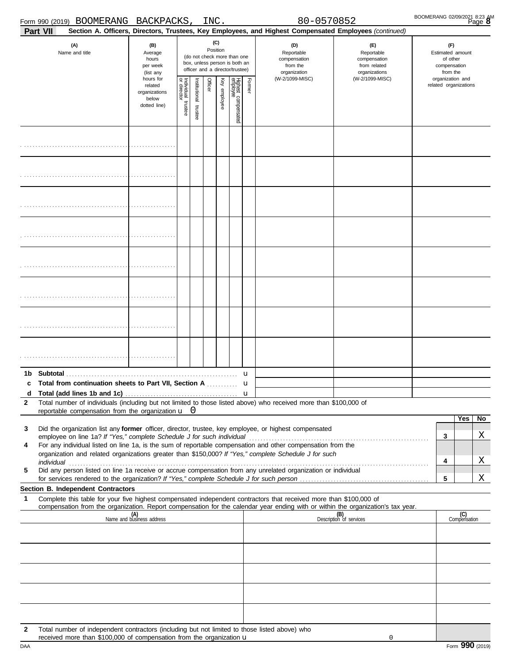|                 |                                                                                                                                                                                    | Form 990 (2019) BOOMERANG BACKPACKS,                                                                                                                                  |                                                                             |                       |                                                                                                                                                         | INC.                                              |                                                     |                                 |        | 80-0570852                                                                                                                                                                                                                                             |                                  | BOOMERANG 02/09/2021 6.23                             |        |
|-----------------|------------------------------------------------------------------------------------------------------------------------------------------------------------------------------------|-----------------------------------------------------------------------------------------------------------------------------------------------------------------------|-----------------------------------------------------------------------------|-----------------------|---------------------------------------------------------------------------------------------------------------------------------------------------------|---------------------------------------------------|-----------------------------------------------------|---------------------------------|--------|--------------------------------------------------------------------------------------------------------------------------------------------------------------------------------------------------------------------------------------------------------|----------------------------------|-------------------------------------------------------|--------|
| <b>Part VII</b> | (C)<br>(A)<br>(B)<br>Position<br>Name and title<br>Average<br>(do not check more than one<br>hours<br>box, unless person is both an<br>per week<br>officer and a director/trustee) |                                                                                                                                                                       |                                                                             |                       | Section A. Officers, Directors, Trustees, Key Employees, and Highest Compensated Employees (continued)<br>(D)<br>Reportable<br>compensation<br>from the | (E)<br>Reportable<br>compensation<br>from related | (F)<br>Estimated amount<br>of other<br>compensation |                                 |        |                                                                                                                                                                                                                                                        |                                  |                                                       |        |
|                 |                                                                                                                                                                                    |                                                                                                                                                                       | (list any<br>hours for<br>related<br>organizations<br>below<br>dotted line) | Individual<br>trustee | nstitutional<br>trustee                                                                                                                                 | Officer                                           | Key employee                                        | Highest compensated<br>employee | Former | organization<br>(W-2/1099-MISC)                                                                                                                                                                                                                        | organizations<br>(W-2/1099-MISC) | from the<br>organization and<br>related organizations |        |
|                 |                                                                                                                                                                                    |                                                                                                                                                                       |                                                                             |                       |                                                                                                                                                         |                                                   |                                                     |                                 |        |                                                                                                                                                                                                                                                        |                                  |                                                       |        |
|                 |                                                                                                                                                                                    |                                                                                                                                                                       |                                                                             |                       |                                                                                                                                                         |                                                   |                                                     |                                 |        |                                                                                                                                                                                                                                                        |                                  |                                                       |        |
|                 |                                                                                                                                                                                    |                                                                                                                                                                       |                                                                             |                       |                                                                                                                                                         |                                                   |                                                     |                                 |        |                                                                                                                                                                                                                                                        |                                  |                                                       |        |
|                 |                                                                                                                                                                                    |                                                                                                                                                                       |                                                                             |                       |                                                                                                                                                         |                                                   |                                                     |                                 |        |                                                                                                                                                                                                                                                        |                                  |                                                       |        |
|                 |                                                                                                                                                                                    |                                                                                                                                                                       |                                                                             |                       |                                                                                                                                                         |                                                   |                                                     |                                 |        |                                                                                                                                                                                                                                                        |                                  |                                                       |        |
|                 |                                                                                                                                                                                    |                                                                                                                                                                       |                                                                             |                       |                                                                                                                                                         |                                                   |                                                     |                                 |        |                                                                                                                                                                                                                                                        |                                  |                                                       |        |
|                 |                                                                                                                                                                                    |                                                                                                                                                                       |                                                                             |                       |                                                                                                                                                         |                                                   |                                                     |                                 |        |                                                                                                                                                                                                                                                        |                                  |                                                       |        |
|                 |                                                                                                                                                                                    |                                                                                                                                                                       |                                                                             |                       |                                                                                                                                                         |                                                   |                                                     |                                 |        |                                                                                                                                                                                                                                                        |                                  |                                                       |        |
| С<br>2          |                                                                                                                                                                                    | Total from continuation sheets to Part VII, Section A  u                                                                                                              |                                                                             |                       |                                                                                                                                                         |                                                   |                                                     |                                 |        | Total number of individuals (including but not limited to those listed above) who received more than \$100,000 of                                                                                                                                      |                                  |                                                       |        |
| 3               |                                                                                                                                                                                    | reportable compensation from the organization $\mathbf{u}$ 0                                                                                                          |                                                                             |                       |                                                                                                                                                         |                                                   |                                                     |                                 |        | Did the organization list any former officer, director, trustee, key employee, or highest compensated                                                                                                                                                  |                                  | Yes                                                   | No     |
| 4               |                                                                                                                                                                                    |                                                                                                                                                                       |                                                                             |                       |                                                                                                                                                         |                                                   |                                                     |                                 |        | For any individual listed on line 1a, is the sum of reportable compensation and other compensation from the<br>organization and related organizations greater than \$150,000? If "Yes," complete Schedule J for such                                   |                                  | 3<br>4                                                | Χ<br>Χ |
| 5               |                                                                                                                                                                                    | Section B. Independent Contractors                                                                                                                                    |                                                                             |                       |                                                                                                                                                         |                                                   |                                                     |                                 |        | Did any person listed on line 1a receive or accrue compensation from any unrelated organization or individual                                                                                                                                          |                                  | 5                                                     | Χ      |
| 1               |                                                                                                                                                                                    |                                                                                                                                                                       |                                                                             |                       |                                                                                                                                                         |                                                   |                                                     |                                 |        | Complete this table for your five highest compensated independent contractors that received more than \$100,000 of<br>compensation from the organization. Report compensation for the calendar year ending with or within the organization's tax year. |                                  |                                                       |        |
|                 |                                                                                                                                                                                    |                                                                                                                                                                       | (A)<br>Name and business address                                            |                       |                                                                                                                                                         |                                                   |                                                     |                                 |        |                                                                                                                                                                                                                                                        | (B)<br>Description of services   | (C)<br>Compensation                                   |        |
|                 |                                                                                                                                                                                    |                                                                                                                                                                       |                                                                             |                       |                                                                                                                                                         |                                                   |                                                     |                                 |        |                                                                                                                                                                                                                                                        |                                  |                                                       |        |
|                 |                                                                                                                                                                                    |                                                                                                                                                                       |                                                                             |                       |                                                                                                                                                         |                                                   |                                                     |                                 |        |                                                                                                                                                                                                                                                        |                                  |                                                       |        |
|                 |                                                                                                                                                                                    |                                                                                                                                                                       |                                                                             |                       |                                                                                                                                                         |                                                   |                                                     |                                 |        |                                                                                                                                                                                                                                                        |                                  |                                                       |        |
| 2               |                                                                                                                                                                                    | Total number of independent contractors (including but not limited to those listed above) who<br>received more than \$100,000 of compensation from the organization u |                                                                             |                       |                                                                                                                                                         |                                                   |                                                     |                                 |        |                                                                                                                                                                                                                                                        | $\mathsf 0$                      |                                                       |        |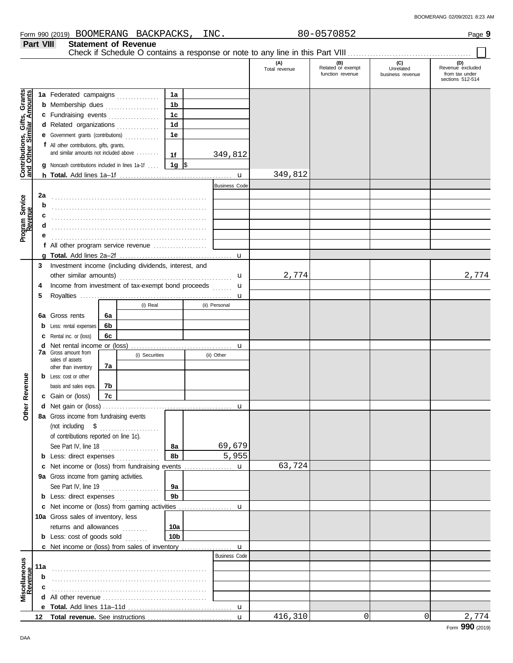|                                                      | Part VIII   |                                                              |    | <b>Statement of Revenue</b> |                 |  |                      |                      |                                              | Check if Schedule O contains a response or note to any line in this Part VIII |                                                               |
|------------------------------------------------------|-------------|--------------------------------------------------------------|----|-----------------------------|-----------------|--|----------------------|----------------------|----------------------------------------------|-------------------------------------------------------------------------------|---------------------------------------------------------------|
|                                                      |             |                                                              |    |                             |                 |  |                      | (A)<br>Total revenue | (B)<br>Related or exempt<br>function revenue | (C)<br>Unrelated<br>business revenue                                          | (D)<br>Revenue excluded<br>from tax under<br>sections 512-514 |
|                                                      |             | 1a Federated campaigns                                       |    |                             | 1a              |  |                      |                      |                                              |                                                                               |                                                               |
| , Grants<br><u>Imounts</u>                           |             | <b>b</b> Membership dues                                     |    |                             | 1 <sub>b</sub>  |  |                      |                      |                                              |                                                                               |                                                               |
|                                                      |             | c Fundraising events                                         |    |                             | 1 <sub>c</sub>  |  |                      |                      |                                              |                                                                               |                                                               |
| <b>Contributions, Gifts,<br/>and Other Similar A</b> |             | d Related organizations                                      |    |                             | 1 <sub>d</sub>  |  |                      |                      |                                              |                                                                               |                                                               |
|                                                      |             | e Government grants (contributions)                          |    |                             | 1e              |  |                      |                      |                                              |                                                                               |                                                               |
|                                                      |             | f All other contributions, gifts, grants,                    |    |                             |                 |  |                      |                      |                                              |                                                                               |                                                               |
|                                                      |             | and similar amounts not included above                       |    |                             | 1f              |  | 349,812              |                      |                                              |                                                                               |                                                               |
|                                                      |             | <b>g</b> Noncash contributions included in lines 1a-1f       |    |                             | 1g $\vert$ \$   |  |                      |                      |                                              |                                                                               |                                                               |
|                                                      |             |                                                              |    |                             |                 |  |                      | 349,812              |                                              |                                                                               |                                                               |
|                                                      |             |                                                              |    |                             |                 |  | <b>Business Code</b> |                      |                                              |                                                                               |                                                               |
|                                                      | 2a          |                                                              |    |                             |                 |  |                      |                      |                                              |                                                                               |                                                               |
| Program Service<br>Revenue                           | b           |                                                              |    |                             |                 |  |                      |                      |                                              |                                                                               |                                                               |
|                                                      | c           |                                                              |    |                             |                 |  |                      |                      |                                              |                                                                               |                                                               |
|                                                      | d           |                                                              |    |                             |                 |  |                      |                      |                                              |                                                                               |                                                               |
|                                                      | е           |                                                              |    |                             |                 |  |                      |                      |                                              |                                                                               |                                                               |
|                                                      |             |                                                              |    |                             |                 |  |                      |                      |                                              |                                                                               |                                                               |
|                                                      | 3           |                                                              |    |                             |                 |  |                      |                      |                                              |                                                                               |                                                               |
|                                                      |             | Investment income (including dividends, interest, and        |    |                             |                 |  |                      | 2,774                |                                              |                                                                               | 2,774                                                         |
|                                                      | 4           | Income from investment of tax-exempt bond proceeds           |    |                             |                 |  | u                    |                      |                                              |                                                                               |                                                               |
|                                                      | 5           |                                                              |    |                             |                 |  | u                    |                      |                                              |                                                                               |                                                               |
|                                                      |             |                                                              |    | (i) Real                    |                 |  | (ii) Personal        |                      |                                              |                                                                               |                                                               |
|                                                      |             | <b>6a</b> Gross rents                                        | 6a |                             |                 |  |                      |                      |                                              |                                                                               |                                                               |
|                                                      | b           | Less: rental expenses                                        | 6b |                             |                 |  |                      |                      |                                              |                                                                               |                                                               |
|                                                      |             | Rental inc. or (loss)                                        | 6c |                             |                 |  |                      |                      |                                              |                                                                               |                                                               |
|                                                      |             | <b>7a</b> Gross amount from                                  |    |                             |                 |  | u                    |                      |                                              |                                                                               |                                                               |
|                                                      |             | sales of assets                                              |    | (i) Securities              |                 |  | (ii) Other           |                      |                                              |                                                                               |                                                               |
|                                                      |             | other than inventory                                         | 7а |                             |                 |  |                      |                      |                                              |                                                                               |                                                               |
| Revenue                                              |             | <b>b</b> Less: cost or other                                 |    |                             |                 |  |                      |                      |                                              |                                                                               |                                                               |
|                                                      |             | basis and sales exps.                                        | 7b |                             |                 |  |                      |                      |                                              |                                                                               |                                                               |
|                                                      |             | c Gain or (loss)                                             | 7c |                             |                 |  |                      |                      |                                              |                                                                               |                                                               |
| ther                                                 |             |                                                              |    |                             |                 |  |                      |                      |                                              |                                                                               |                                                               |
|                                                      |             | 8a Gross income from fundraising events                      |    |                             |                 |  |                      |                      |                                              |                                                                               |                                                               |
|                                                      |             | (not including $$$<br>of contributions reported on line 1c). |    |                             |                 |  |                      |                      |                                              |                                                                               |                                                               |
|                                                      |             | See Part IV, line 18                                         |    |                             | 8а              |  | 69,679               |                      |                                              |                                                                               |                                                               |
|                                                      |             | <b>b</b> Less: direct expenses                               |    |                             | 8b              |  | 5,955                |                      |                                              |                                                                               |                                                               |
|                                                      |             |                                                              |    |                             |                 |  |                      | 63,724               |                                              |                                                                               |                                                               |
|                                                      |             | 9a Gross income from gaming activities.                      |    |                             |                 |  |                      |                      |                                              |                                                                               |                                                               |
|                                                      |             | See Part IV, line 19                                         |    | .                           | 9а              |  |                      |                      |                                              |                                                                               |                                                               |
|                                                      |             | <b>b</b> Less: direct expenses <i>minimum</i>                |    |                             | 9 <sub>b</sub>  |  |                      |                      |                                              |                                                                               |                                                               |
|                                                      |             |                                                              |    |                             |                 |  |                      |                      |                                              |                                                                               |                                                               |
|                                                      |             | 10a Gross sales of inventory, less                           |    |                             |                 |  |                      |                      |                                              |                                                                               |                                                               |
|                                                      |             | returns and allowances                                       |    | .                           | 10a             |  |                      |                      |                                              |                                                                               |                                                               |
|                                                      |             | <b>b</b> Less: cost of goods sold                            |    |                             | 10 <sub>b</sub> |  |                      |                      |                                              |                                                                               |                                                               |
|                                                      |             | c Net income or (loss) from sales of inventory               |    |                             |                 |  | u                    |                      |                                              |                                                                               |                                                               |
|                                                      |             |                                                              |    |                             |                 |  | <b>Business Code</b> |                      |                                              |                                                                               |                                                               |
|                                                      | 11a         |                                                              |    |                             |                 |  |                      |                      |                                              |                                                                               |                                                               |
|                                                      | $\mathbf b$ |                                                              |    |                             |                 |  |                      |                      |                                              |                                                                               |                                                               |
| Miscellaneous<br>Revenue                             |             |                                                              |    |                             |                 |  |                      |                      |                                              |                                                                               |                                                               |
|                                                      | d           |                                                              |    |                             |                 |  |                      |                      |                                              |                                                                               |                                                               |
|                                                      | 12          |                                                              |    |                             |                 |  |                      | 416,310              | $\overline{0}$                               | $\Omega$                                                                      | 2,774                                                         |
|                                                      |             |                                                              |    |                             |                 |  |                      |                      |                                              |                                                                               |                                                               |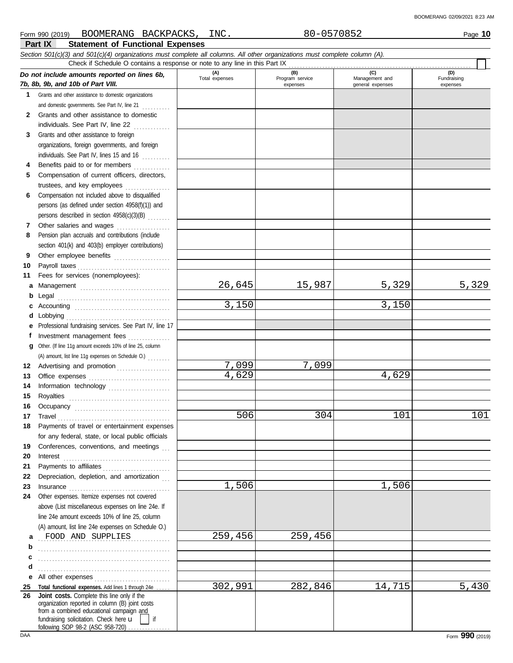#### **Part IX Statement of Functional Expenses** Form 990 (2019) Page **10** BOOMERANG BACKPACKS, INC. 80-0570852 *Section 501(c)(3) and 501(c)(4) organizations must complete all columns. All other organizations must complete column (A). Do not include amounts reported on lines 6b, 7b, 8b, 9b, and 10b of Part VIII.* **1 2 3 4 5 6** Compensation not included above to disqualified **7 8 9 10 11 a** Management ................................. **b** Legal . . . . . . . . . . . . . . . . . . . . . . . . . . . . . . . . . . . . . . . . **c** Accounting . . . . . . . . . . . . . . . . . . . . . . . . . . . . . . . . . . **d** Lobbying . . . . . . . . . . . . . . . . . . . . . . . . . . . . . . . . . . . . . **e** Professional fundraising services. See Part IV, line 17 **f g** Other. (If line 11g amount exceeds 10% of line 25, column **12** Advertising and promotion . . . . . . . . . . . . . . . . . . **13 14 15 16 17 18 19 20 21 22** Depreciation, depletion, and amortization **... 23 24 a** FOOD AND SUPPLIES 259,456 259,456 **b c d e** All other expenses . . . . . . . . . . . . . . . . . . . . . . . . . . . **25 26** Grants and other assistance to domestic organizations and domestic governments. See Part IV, line 21 .......... Grants and other assistance to domestic individuals. See Part IV, line 22 Grants and other assistance to foreign organizations, foreign governments, and foreign individuals. See Part IV, lines 15 and 16 .......... Benefits paid to or for members ............. Compensation of current officers, directors, trustees, and key employees ................. persons (as defined under section 4958(f)(1)) and persons described in section 4958(c)(3)(B) . . . . . . . . Other salaries and wages ................... Pension plan accruals and contributions (include section 401(k) and 403(b) employer contributions) Other employee benefits .................... Payroll taxes . . . . . . . . . . . . . . . . . . . . . . . . . . . . . . . . . Fees for services (nonemployees): Investment management fees ............... Office expenses . . . . . . . . . . . . . . . . . . . . . . . . . . . . . Information technology ...................... Royalties . . . . . . . . . . . . . . . . . . . . . . . . . . . . . . . . . . . . Occupancy . . . . . . . . . . . . . . . . . . . . . . . . . . . . . . . . . . Travel . . . . . . . . . . . . . . . . . . . . . . . . . . . . . . . . . . . . . . . . Payments of travel or entertainment expenses for any federal, state, or local public officials Conferences, conventions, and meetings Interest . . . . . . . . . . . . . . . . . . . . . . . . . . . . . . . . . . . . . . Payments to affiliates . . . . . . . . . . . . . . . . . . . . . . . . Insurance . . . . . . . . . . . . . . . . . . . . . . . . . . . . . . . . . . . . Other expenses. Itemize expenses not covered above (List miscellaneous expenses on line 24e. If line 24e amount exceeds 10% of line 25, column (A) amount, list line 24e expenses on Schedule O.) Total functional expenses. Add lines 1 through 24e . organization reported in column (B) joint costs **(A) (B) (C) (D)** Total expenses Program service Management and expenses and in the qeneral expenses Fundraising expenses . . . . . . . . . . . . . . . . . . . . . . . . . . . . . . . . . . . . . . . . . . . . . . . . . . . . . . . . . . . . . . . . . . . . . . . . . . . . . . . . . . . . . . . . . . . . . . . . . . . . . . . . . . . . . . . . . . . . . . . . . . . . . . . . . . . . . . . . . . . . . Check if Schedule O contains a response or note to any line in this Part IX **Joint costs.** Complete this line only if the (A) amount, list line 11g expenses on Schedule O.) . . . . . . . . 26,645 15,987 5,329 5,329 3,150 3,150 7,099 7,099 4,629 4,629 <u>506 304 101 101 101</u> 1,506 1,506 302,991 282,846 14,715 5,430

fundraising solicitation. Check here  $\mathbf u$ 

following SOP 98-2 (ASC 958-720)

from a combined educational campaign and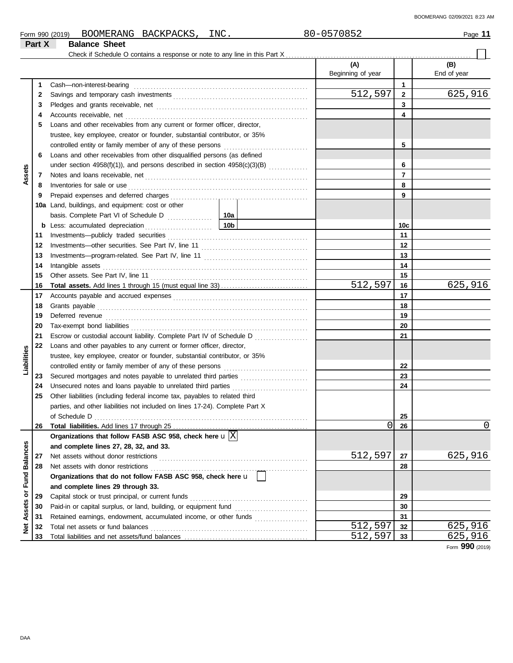|  | Form<br>0 (2019)<br>agn.<br>ັບບປ | <b>BOOMERANG</b> | <b>BACKPACKS</b> | <b>INC</b> | $\cdot$<br>. J 2<br>ັ | Page |
|--|----------------------------------|------------------|------------------|------------|-----------------------|------|
|--|----------------------------------|------------------|------------------|------------|-----------------------|------|

|                 | Part X | <b>Balance Sheet</b>                                                                                                                                                                                                                 |                   |                |             |
|-----------------|--------|--------------------------------------------------------------------------------------------------------------------------------------------------------------------------------------------------------------------------------------|-------------------|----------------|-------------|
|                 |        | Check if Schedule O contains a response or note to any line in this Part X                                                                                                                                                           |                   |                |             |
|                 |        |                                                                                                                                                                                                                                      | (A)               |                | (B)         |
|                 |        |                                                                                                                                                                                                                                      | Beginning of year |                | End of year |
|                 | 1      |                                                                                                                                                                                                                                      |                   | 1              |             |
|                 | 2      |                                                                                                                                                                                                                                      | 512,597           | $\mathbf{2}$   | 625,916     |
|                 | 3      |                                                                                                                                                                                                                                      |                   | 3              |             |
|                 | 4      |                                                                                                                                                                                                                                      |                   | 4              |             |
|                 | 5      | Loans and other receivables from any current or former officer, director,                                                                                                                                                            |                   |                |             |
|                 |        | trustee, key employee, creator or founder, substantial contributor, or 35%                                                                                                                                                           |                   |                |             |
|                 |        |                                                                                                                                                                                                                                      |                   | 5              |             |
|                 | 6      | Loans and other receivables from other disqualified persons (as defined                                                                                                                                                              |                   |                |             |
|                 |        |                                                                                                                                                                                                                                      |                   | 6              |             |
| Assets          | 7      |                                                                                                                                                                                                                                      |                   | $\overline{7}$ |             |
|                 | 8      |                                                                                                                                                                                                                                      |                   | 8              |             |
|                 | 9      |                                                                                                                                                                                                                                      |                   | 9              |             |
|                 |        | 10a Land, buildings, and equipment: cost or other                                                                                                                                                                                    |                   |                |             |
|                 |        | basis. Complete Part VI of Schedule D<br>10a                                                                                                                                                                                         |                   |                |             |
|                 |        | 10 <sub>b</sub>                                                                                                                                                                                                                      |                   | 10c            |             |
|                 | 11     |                                                                                                                                                                                                                                      |                   | 11             |             |
|                 | 12     |                                                                                                                                                                                                                                      |                   | 12             |             |
|                 | 13     |                                                                                                                                                                                                                                      |                   | 13             |             |
|                 | 14     |                                                                                                                                                                                                                                      |                   | 14             |             |
|                 | 15     |                                                                                                                                                                                                                                      |                   | 15             |             |
|                 | 16     |                                                                                                                                                                                                                                      | 512,597           | 16             | 625,916     |
|                 | 17     |                                                                                                                                                                                                                                      |                   | 17             |             |
|                 | 18     |                                                                                                                                                                                                                                      |                   | 18             |             |
|                 | 19     |                                                                                                                                                                                                                                      |                   | 19             |             |
|                 | 20     |                                                                                                                                                                                                                                      |                   | 20             |             |
|                 | 21     | Escrow or custodial account liability. Complete Part IV of Schedule D                                                                                                                                                                |                   | 21             |             |
|                 | 22     | Loans and other payables to any current or former officer, director,                                                                                                                                                                 |                   |                |             |
| Liabilities     |        | trustee, key employee, creator or founder, substantial contributor, or 35%                                                                                                                                                           |                   |                |             |
|                 |        |                                                                                                                                                                                                                                      |                   | 22             |             |
|                 | 23     | Secured mortgages and notes payable to unrelated third parties                                                                                                                                                                       |                   | 23             |             |
|                 | 24     | Unsecured notes and loans payable to unrelated third parties                                                                                                                                                                         |                   | 24             |             |
|                 | 25     | Other liabilities (including federal income tax, payables to related third                                                                                                                                                           |                   |                |             |
|                 |        | parties, and other liabilities not included on lines 17-24). Complete Part X                                                                                                                                                         |                   |                |             |
|                 |        |                                                                                                                                                                                                                                      |                   | 25             |             |
|                 | 26     |                                                                                                                                                                                                                                      | 0                 | 26             | 0           |
|                 |        | Organizations that follow FASB ASC 958, check here $\mathbf{u}[\overline{X}]$                                                                                                                                                        |                   |                |             |
|                 |        | and complete lines 27, 28, 32, and 33.                                                                                                                                                                                               |                   |                |             |
| <b>Balances</b> | 27     |                                                                                                                                                                                                                                      | 512,597           | 27             | 625,916     |
|                 | 28     | Net assets with donor restrictions <b>contained a set of the set of the set of the set of the set of the set of the set of the set of the set of the set of the set of the set of the set of the set of the set of the set of th</b> |                   | 28             |             |
| Fund            |        | Organizations that do not follow FASB ASC 958, check here u                                                                                                                                                                          |                   |                |             |
|                 |        | and complete lines 29 through 33.                                                                                                                                                                                                    |                   |                |             |
| ŏ               | 29     |                                                                                                                                                                                                                                      |                   | 29             |             |
|                 | 30     | Paid-in or capital surplus, or land, building, or equipment fund                                                                                                                                                                     |                   | 30             |             |
| Assets          | 31     | Retained earnings, endowment, accumulated income, or other funds                                                                                                                                                                     |                   | 31             |             |
| Net             | 32     |                                                                                                                                                                                                                                      | 512,597           | 32             | 625,916     |
|                 | 33     |                                                                                                                                                                                                                                      | 512,597           | 33             | 625,916     |

Form **990** (2019)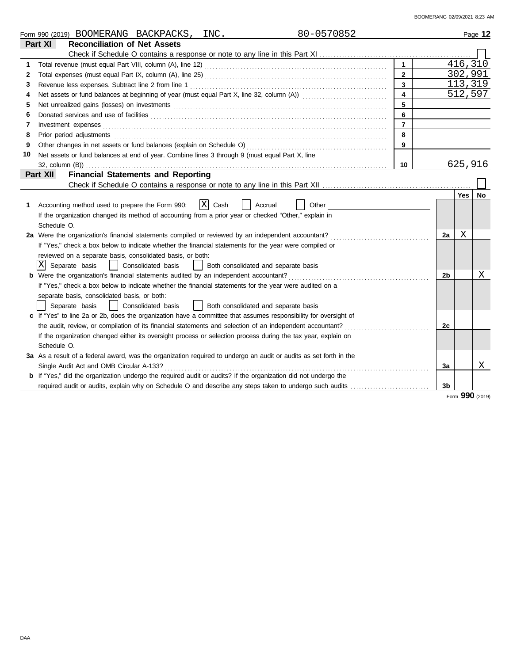| <b>Reconciliation of Net Assets</b><br>Part XI<br>416,310<br>$\mathbf{1}$<br>1<br>302,991<br>$\overline{2}$<br>2<br>113,319<br>3<br>3<br>512,597<br>Net assets or fund balances at beginning of year (must equal Part X, line 32, column (A)) [[[[[[[[[[[[[[[[[[[<br>4<br>4<br>5<br>5<br>6<br>6<br>$\overline{7}$<br>Investment expenses <b>contract and the expenses</b><br>7<br>8<br>Prior period adjustments <b>construction and construction</b> and construction of the construction of the construction of the construction of the construction of the construction of the construction of the construction of the c<br>8<br>9<br>9<br>Net assets or fund balances at end of year. Combine lines 3 through 9 (must equal Part X, line<br>10<br>625,916<br>32, column (B))<br>10<br><b>Financial Statements and Reporting</b><br>Part XII<br>Yes<br>X Cash<br>Accounting method used to prepare the Form 990:<br>Accrual<br>Other<br>1<br>If the organization changed its method of accounting from a prior year or checked "Other," explain in<br>Schedule O. | Page 12 |
|---------------------------------------------------------------------------------------------------------------------------------------------------------------------------------------------------------------------------------------------------------------------------------------------------------------------------------------------------------------------------------------------------------------------------------------------------------------------------------------------------------------------------------------------------------------------------------------------------------------------------------------------------------------------------------------------------------------------------------------------------------------------------------------------------------------------------------------------------------------------------------------------------------------------------------------------------------------------------------------------------------------------------------------------------------------------|---------|
|                                                                                                                                                                                                                                                                                                                                                                                                                                                                                                                                                                                                                                                                                                                                                                                                                                                                                                                                                                                                                                                                     |         |
|                                                                                                                                                                                                                                                                                                                                                                                                                                                                                                                                                                                                                                                                                                                                                                                                                                                                                                                                                                                                                                                                     |         |
|                                                                                                                                                                                                                                                                                                                                                                                                                                                                                                                                                                                                                                                                                                                                                                                                                                                                                                                                                                                                                                                                     |         |
|                                                                                                                                                                                                                                                                                                                                                                                                                                                                                                                                                                                                                                                                                                                                                                                                                                                                                                                                                                                                                                                                     |         |
|                                                                                                                                                                                                                                                                                                                                                                                                                                                                                                                                                                                                                                                                                                                                                                                                                                                                                                                                                                                                                                                                     |         |
|                                                                                                                                                                                                                                                                                                                                                                                                                                                                                                                                                                                                                                                                                                                                                                                                                                                                                                                                                                                                                                                                     |         |
|                                                                                                                                                                                                                                                                                                                                                                                                                                                                                                                                                                                                                                                                                                                                                                                                                                                                                                                                                                                                                                                                     |         |
|                                                                                                                                                                                                                                                                                                                                                                                                                                                                                                                                                                                                                                                                                                                                                                                                                                                                                                                                                                                                                                                                     |         |
|                                                                                                                                                                                                                                                                                                                                                                                                                                                                                                                                                                                                                                                                                                                                                                                                                                                                                                                                                                                                                                                                     |         |
|                                                                                                                                                                                                                                                                                                                                                                                                                                                                                                                                                                                                                                                                                                                                                                                                                                                                                                                                                                                                                                                                     |         |
|                                                                                                                                                                                                                                                                                                                                                                                                                                                                                                                                                                                                                                                                                                                                                                                                                                                                                                                                                                                                                                                                     |         |
|                                                                                                                                                                                                                                                                                                                                                                                                                                                                                                                                                                                                                                                                                                                                                                                                                                                                                                                                                                                                                                                                     |         |
|                                                                                                                                                                                                                                                                                                                                                                                                                                                                                                                                                                                                                                                                                                                                                                                                                                                                                                                                                                                                                                                                     |         |
|                                                                                                                                                                                                                                                                                                                                                                                                                                                                                                                                                                                                                                                                                                                                                                                                                                                                                                                                                                                                                                                                     |         |
|                                                                                                                                                                                                                                                                                                                                                                                                                                                                                                                                                                                                                                                                                                                                                                                                                                                                                                                                                                                                                                                                     |         |
|                                                                                                                                                                                                                                                                                                                                                                                                                                                                                                                                                                                                                                                                                                                                                                                                                                                                                                                                                                                                                                                                     | No      |
|                                                                                                                                                                                                                                                                                                                                                                                                                                                                                                                                                                                                                                                                                                                                                                                                                                                                                                                                                                                                                                                                     |         |
|                                                                                                                                                                                                                                                                                                                                                                                                                                                                                                                                                                                                                                                                                                                                                                                                                                                                                                                                                                                                                                                                     |         |
|                                                                                                                                                                                                                                                                                                                                                                                                                                                                                                                                                                                                                                                                                                                                                                                                                                                                                                                                                                                                                                                                     |         |
| X<br>2a Were the organization's financial statements compiled or reviewed by an independent accountant?<br>2a                                                                                                                                                                                                                                                                                                                                                                                                                                                                                                                                                                                                                                                                                                                                                                                                                                                                                                                                                       |         |
| If "Yes," check a box below to indicate whether the financial statements for the year were compiled or                                                                                                                                                                                                                                                                                                                                                                                                                                                                                                                                                                                                                                                                                                                                                                                                                                                                                                                                                              |         |
| reviewed on a separate basis, consolidated basis, or both:                                                                                                                                                                                                                                                                                                                                                                                                                                                                                                                                                                                                                                                                                                                                                                                                                                                                                                                                                                                                          |         |
| ΙXΙ<br>Separate basis<br>Consolidated basis<br>  Both consolidated and separate basis                                                                                                                                                                                                                                                                                                                                                                                                                                                                                                                                                                                                                                                                                                                                                                                                                                                                                                                                                                               |         |
| Were the organization's financial statements audited by an independent accountant?<br>2 <sub>b</sub>                                                                                                                                                                                                                                                                                                                                                                                                                                                                                                                                                                                                                                                                                                                                                                                                                                                                                                                                                                | Χ       |
| If "Yes," check a box below to indicate whether the financial statements for the year were audited on a                                                                                                                                                                                                                                                                                                                                                                                                                                                                                                                                                                                                                                                                                                                                                                                                                                                                                                                                                             |         |
| separate basis, consolidated basis, or both:                                                                                                                                                                                                                                                                                                                                                                                                                                                                                                                                                                                                                                                                                                                                                                                                                                                                                                                                                                                                                        |         |
| Separate basis<br>Consolidated basis<br>Both consolidated and separate basis                                                                                                                                                                                                                                                                                                                                                                                                                                                                                                                                                                                                                                                                                                                                                                                                                                                                                                                                                                                        |         |
| c If "Yes" to line 2a or 2b, does the organization have a committee that assumes responsibility for oversight of                                                                                                                                                                                                                                                                                                                                                                                                                                                                                                                                                                                                                                                                                                                                                                                                                                                                                                                                                    |         |
| the audit, review, or compilation of its financial statements and selection of an independent accountant?<br>2c                                                                                                                                                                                                                                                                                                                                                                                                                                                                                                                                                                                                                                                                                                                                                                                                                                                                                                                                                     |         |
| If the organization changed either its oversight process or selection process during the tax year, explain on                                                                                                                                                                                                                                                                                                                                                                                                                                                                                                                                                                                                                                                                                                                                                                                                                                                                                                                                                       |         |
| Schedule O.                                                                                                                                                                                                                                                                                                                                                                                                                                                                                                                                                                                                                                                                                                                                                                                                                                                                                                                                                                                                                                                         |         |
| 3a As a result of a federal award, was the organization required to undergo an audit or audits as set forth in the                                                                                                                                                                                                                                                                                                                                                                                                                                                                                                                                                                                                                                                                                                                                                                                                                                                                                                                                                  |         |
| Single Audit Act and OMB Circular A-133?<br>3a                                                                                                                                                                                                                                                                                                                                                                                                                                                                                                                                                                                                                                                                                                                                                                                                                                                                                                                                                                                                                      | Χ       |
| <b>b</b> If "Yes," did the organization undergo the required audit or audits? If the organization did not undergo the                                                                                                                                                                                                                                                                                                                                                                                                                                                                                                                                                                                                                                                                                                                                                                                                                                                                                                                                               |         |
| required audit or audits, explain why on Schedule O and describe any steps taken to undergo such audits<br>3b                                                                                                                                                                                                                                                                                                                                                                                                                                                                                                                                                                                                                                                                                                                                                                                                                                                                                                                                                       |         |

Form **990** (2019)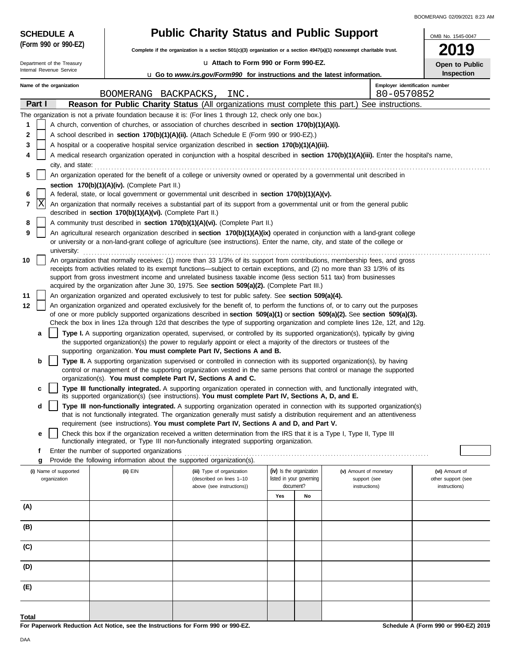| <b>Public Charity Status and Public Support</b><br><b>SCHEDULE A</b><br>OMB No. 1545-0047 |                                                                                                                                                                                                                                                  |                                                                                                                                                                                                                                                                        |                                                      |                                              |                                      |  |  |  |  |  |  |
|-------------------------------------------------------------------------------------------|--------------------------------------------------------------------------------------------------------------------------------------------------------------------------------------------------------------------------------------------------|------------------------------------------------------------------------------------------------------------------------------------------------------------------------------------------------------------------------------------------------------------------------|------------------------------------------------------|----------------------------------------------|--------------------------------------|--|--|--|--|--|--|
| (Form 990 or 990-EZ)                                                                      |                                                                                                                                                                                                                                                  | Complete if the organization is a section 501(c)(3) organization or a section 4947(a)(1) nonexempt charitable trust.                                                                                                                                                   |                                                      |                                              | 2019                                 |  |  |  |  |  |  |
| Department of the Treasury                                                                |                                                                                                                                                                                                                                                  | u Attach to Form 990 or Form 990-EZ.                                                                                                                                                                                                                                   |                                                      |                                              | Open to Public                       |  |  |  |  |  |  |
| Internal Revenue Service                                                                  |                                                                                                                                                                                                                                                  | <b>u</b> Go to www.irs.gov/Form990 for instructions and the latest information.                                                                                                                                                                                        |                                                      |                                              | Inspection                           |  |  |  |  |  |  |
| Name of the organization                                                                  | BOOMERANG BACKPACKS,                                                                                                                                                                                                                             | INC.                                                                                                                                                                                                                                                                   |                                                      | Employer identification number<br>80-0570852 |                                      |  |  |  |  |  |  |
| Part I                                                                                    |                                                                                                                                                                                                                                                  | Reason for Public Charity Status (All organizations must complete this part.) See instructions.                                                                                                                                                                        |                                                      |                                              |                                      |  |  |  |  |  |  |
|                                                                                           |                                                                                                                                                                                                                                                  | The organization is not a private foundation because it is: (For lines 1 through 12, check only one box.)                                                                                                                                                              |                                                      |                                              |                                      |  |  |  |  |  |  |
| 1                                                                                         |                                                                                                                                                                                                                                                  | A church, convention of churches, or association of churches described in section 170(b)(1)(A)(i).                                                                                                                                                                     |                                                      |                                              |                                      |  |  |  |  |  |  |
| 2                                                                                         |                                                                                                                                                                                                                                                  | A school described in section 170(b)(1)(A)(ii). (Attach Schedule E (Form 990 or 990-EZ).)                                                                                                                                                                              |                                                      |                                              |                                      |  |  |  |  |  |  |
| 3                                                                                         |                                                                                                                                                                                                                                                  | A hospital or a cooperative hospital service organization described in section 170(b)(1)(A)(iii).                                                                                                                                                                      |                                                      |                                              |                                      |  |  |  |  |  |  |
| 4                                                                                         |                                                                                                                                                                                                                                                  | A medical research organization operated in conjunction with a hospital described in section 170(b)(1)(A)(iii). Enter the hospital's name,                                                                                                                             |                                                      |                                              |                                      |  |  |  |  |  |  |
| city, and state:                                                                          |                                                                                                                                                                                                                                                  |                                                                                                                                                                                                                                                                        |                                                      |                                              |                                      |  |  |  |  |  |  |
| 5                                                                                         |                                                                                                                                                                                                                                                  | An organization operated for the benefit of a college or university owned or operated by a governmental unit described in                                                                                                                                              |                                                      |                                              |                                      |  |  |  |  |  |  |
| 6                                                                                         | section 170(b)(1)(A)(iv). (Complete Part II.)                                                                                                                                                                                                    | A federal, state, or local government or governmental unit described in section 170(b)(1)(A)(v).                                                                                                                                                                       |                                                      |                                              |                                      |  |  |  |  |  |  |
| X<br>7                                                                                    | An organization that normally receives a substantial part of its support from a governmental unit or from the general public<br>described in section 170(b)(1)(A)(vi). (Complete Part II.)                                                       |                                                                                                                                                                                                                                                                        |                                                      |                                              |                                      |  |  |  |  |  |  |
| 8                                                                                         |                                                                                                                                                                                                                                                  |                                                                                                                                                                                                                                                                        |                                                      |                                              |                                      |  |  |  |  |  |  |
| 9                                                                                         | A community trust described in section 170(b)(1)(A)(vi). (Complete Part II.)<br>An agricultural research organization described in section 170(b)(1)(A)(ix) operated in conjunction with a land-grant college                                    |                                                                                                                                                                                                                                                                        |                                                      |                                              |                                      |  |  |  |  |  |  |
|                                                                                           | or university or a non-land-grant college of agriculture (see instructions). Enter the name, city, and state of the college or<br>university:                                                                                                    |                                                                                                                                                                                                                                                                        |                                                      |                                              |                                      |  |  |  |  |  |  |
| 10                                                                                        | An organization that normally receives: (1) more than 33 1/3% of its support from contributions, membership fees, and gross                                                                                                                      |                                                                                                                                                                                                                                                                        |                                                      |                                              |                                      |  |  |  |  |  |  |
|                                                                                           | receipts from activities related to its exempt functions—subject to certain exceptions, and (2) no more than 33 1/3% of its<br>support from gross investment income and unrelated business taxable income (less section 511 tax) from businesses |                                                                                                                                                                                                                                                                        |                                                      |                                              |                                      |  |  |  |  |  |  |
|                                                                                           | acquired by the organization after June 30, 1975. See section 509(a)(2). (Complete Part III.)                                                                                                                                                    |                                                                                                                                                                                                                                                                        |                                                      |                                              |                                      |  |  |  |  |  |  |
| 11                                                                                        | An organization organized and operated exclusively to test for public safety. See section 509(a)(4).                                                                                                                                             |                                                                                                                                                                                                                                                                        |                                                      |                                              |                                      |  |  |  |  |  |  |
| 12                                                                                        |                                                                                                                                                                                                                                                  | An organization organized and operated exclusively for the benefit of, to perform the functions of, or to carry out the purposes                                                                                                                                       |                                                      |                                              |                                      |  |  |  |  |  |  |
|                                                                                           |                                                                                                                                                                                                                                                  | of one or more publicly supported organizations described in section $509(a)(1)$ or section $509(a)(2)$ . See section $509(a)(3)$ .<br>Check the box in lines 12a through 12d that describes the type of supporting organization and complete lines 12e, 12f, and 12g. |                                                      |                                              |                                      |  |  |  |  |  |  |
| а                                                                                         |                                                                                                                                                                                                                                                  | Type I. A supporting organization operated, supervised, or controlled by its supported organization(s), typically by giving                                                                                                                                            |                                                      |                                              |                                      |  |  |  |  |  |  |
|                                                                                           |                                                                                                                                                                                                                                                  | the supported organization(s) the power to regularly appoint or elect a majority of the directors or trustees of the                                                                                                                                                   |                                                      |                                              |                                      |  |  |  |  |  |  |
|                                                                                           |                                                                                                                                                                                                                                                  | supporting organization. You must complete Part IV, Sections A and B.                                                                                                                                                                                                  |                                                      |                                              |                                      |  |  |  |  |  |  |
| b                                                                                         |                                                                                                                                                                                                                                                  | Type II. A supporting organization supervised or controlled in connection with its supported organization(s), by having<br>control or management of the supporting organization vested in the same persons that control or manage the supported                        |                                                      |                                              |                                      |  |  |  |  |  |  |
|                                                                                           |                                                                                                                                                                                                                                                  | organization(s). You must complete Part IV, Sections A and C.                                                                                                                                                                                                          |                                                      |                                              |                                      |  |  |  |  |  |  |
| c                                                                                         |                                                                                                                                                                                                                                                  | Type III functionally integrated. A supporting organization operated in connection with, and functionally integrated with,<br>its supported organization(s) (see instructions). You must complete Part IV, Sections A, D, and E.                                       |                                                      |                                              |                                      |  |  |  |  |  |  |
| d                                                                                         |                                                                                                                                                                                                                                                  | Type III non-functionally integrated. A supporting organization operated in connection with its supported organization(s)                                                                                                                                              |                                                      |                                              |                                      |  |  |  |  |  |  |
|                                                                                           |                                                                                                                                                                                                                                                  | that is not functionally integrated. The organization generally must satisfy a distribution requirement and an attentiveness                                                                                                                                           |                                                      |                                              |                                      |  |  |  |  |  |  |
|                                                                                           |                                                                                                                                                                                                                                                  | requirement (see instructions). You must complete Part IV, Sections A and D, and Part V.                                                                                                                                                                               |                                                      |                                              |                                      |  |  |  |  |  |  |
| е                                                                                         |                                                                                                                                                                                                                                                  | Check this box if the organization received a written determination from the IRS that it is a Type I, Type II, Type III<br>functionally integrated, or Type III non-functionally integrated supporting organization.                                                   |                                                      |                                              |                                      |  |  |  |  |  |  |
| f                                                                                         | Enter the number of supported organizations                                                                                                                                                                                                      |                                                                                                                                                                                                                                                                        |                                                      |                                              |                                      |  |  |  |  |  |  |
| g                                                                                         |                                                                                                                                                                                                                                                  | Provide the following information about the supported organization(s).                                                                                                                                                                                                 |                                                      |                                              |                                      |  |  |  |  |  |  |
| (i) Name of supported<br>organization                                                     | (ii) EIN                                                                                                                                                                                                                                         | (iii) Type of organization<br>(described on lines 1-10                                                                                                                                                                                                                 | (iv) Is the organization<br>listed in your governing | (v) Amount of monetary<br>support (see       | (vi) Amount of<br>other support (see |  |  |  |  |  |  |
|                                                                                           |                                                                                                                                                                                                                                                  | above (see instructions))                                                                                                                                                                                                                                              | document?                                            | instructions)                                | instructions)                        |  |  |  |  |  |  |
|                                                                                           |                                                                                                                                                                                                                                                  |                                                                                                                                                                                                                                                                        | Yes<br>No                                            |                                              |                                      |  |  |  |  |  |  |
| (A)                                                                                       |                                                                                                                                                                                                                                                  |                                                                                                                                                                                                                                                                        |                                                      |                                              |                                      |  |  |  |  |  |  |
| (B)                                                                                       |                                                                                                                                                                                                                                                  |                                                                                                                                                                                                                                                                        |                                                      |                                              |                                      |  |  |  |  |  |  |
|                                                                                           |                                                                                                                                                                                                                                                  |                                                                                                                                                                                                                                                                        |                                                      |                                              |                                      |  |  |  |  |  |  |
| (C)                                                                                       |                                                                                                                                                                                                                                                  |                                                                                                                                                                                                                                                                        |                                                      |                                              |                                      |  |  |  |  |  |  |
| (D)                                                                                       |                                                                                                                                                                                                                                                  |                                                                                                                                                                                                                                                                        |                                                      |                                              |                                      |  |  |  |  |  |  |
| (E)                                                                                       |                                                                                                                                                                                                                                                  |                                                                                                                                                                                                                                                                        |                                                      |                                              |                                      |  |  |  |  |  |  |
|                                                                                           |                                                                                                                                                                                                                                                  |                                                                                                                                                                                                                                                                        |                                                      |                                              |                                      |  |  |  |  |  |  |
| <b>Total</b>                                                                              |                                                                                                                                                                                                                                                  |                                                                                                                                                                                                                                                                        |                                                      |                                              |                                      |  |  |  |  |  |  |

**For Paperwork Reduction Act Notice, see the Instructions for Form 990 or 990-EZ.**

**Schedule A (Form 990 or 990-EZ) 2019**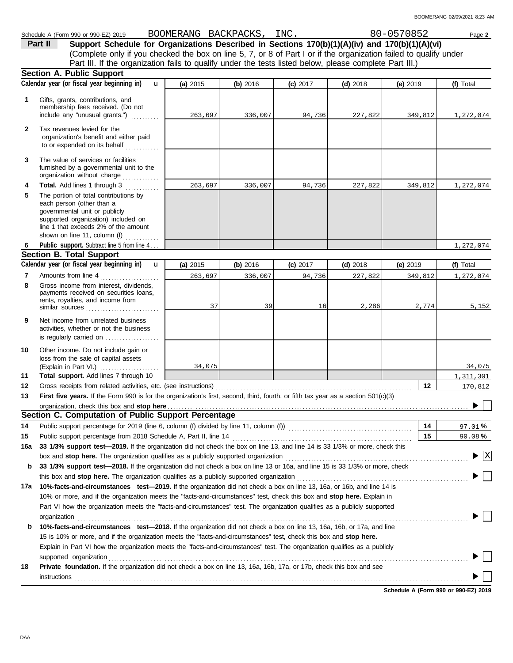## Schedule A (Form 990 or 990-EZ) 2019 BOOMERANG BACKPACKS, INC<sub>·</sub> 1988-1988-08-0570852 Page 2

(Complete only if you checked the box on line 5, 7, or 8 of Part I or if the organization failed to qualify under **Part II** Support Schedule for Organizations Described in Sections 170(b)(1)(A)(iv) and 170(b)(1)(A)(vi) Part III. If the organization fails to qualify under the tests listed below, please complete Part III.)

|              | <b>Section A. Public Support</b>                                                                                                                                                                                                                 |          |          |            |            |            |           |
|--------------|--------------------------------------------------------------------------------------------------------------------------------------------------------------------------------------------------------------------------------------------------|----------|----------|------------|------------|------------|-----------|
|              | Calendar year (or fiscal year beginning in)<br>u                                                                                                                                                                                                 | (a) 2015 | (b) 2016 | $(c)$ 2017 | $(d)$ 2018 | $(e)$ 2019 | (f) Total |
| 1            | Gifts, grants, contributions, and<br>membership fees received. (Do not<br>include any "unusual grants.")                                                                                                                                         | 263,697  | 336,007  | 94,736     | 227,822    | 349,812    | 1,272,074 |
| $\mathbf{2}$ | Tax revenues levied for the<br>organization's benefit and either paid<br>to or expended on its behalf                                                                                                                                            |          |          |            |            |            |           |
| 3            | The value of services or facilities<br>furnished by a governmental unit to the<br>organization without charge                                                                                                                                    |          |          |            |            |            |           |
| 4            | Total. Add lines 1 through 3<br>.                                                                                                                                                                                                                | 263,697  | 336,007  | 94,736     | 227,822    | 349,812    | 1,272,074 |
| 5            | The portion of total contributions by<br>each person (other than a<br>governmental unit or publicly<br>supported organization) included on<br>line 1 that exceeds 2% of the amount<br>shown on line 11, column (f) $\ldots$                      |          |          |            |            |            |           |
| 6            | Public support. Subtract line 5 from line 4.                                                                                                                                                                                                     |          |          |            |            |            | 1,272,074 |
|              | <b>Section B. Total Support</b>                                                                                                                                                                                                                  |          |          |            |            |            |           |
|              | Calendar year (or fiscal year beginning in)<br>$\mathbf{u}$                                                                                                                                                                                      | (a) 2015 | (b) 2016 | $(c)$ 2017 | $(d)$ 2018 | (e) $2019$ | (f) Total |
| 7            | Amounts from line 4                                                                                                                                                                                                                              | 263,697  | 336,007  | 94,736     | 227,822    | 349,812    | 1,272,074 |
| 8            | Gross income from interest, dividends,<br>payments received on securities loans,<br>rents, royalties, and income from<br>similar sources $\ldots, \ldots, \ldots, \ldots, \ldots, \ldots$                                                        | 37       | 39       | 16         | 2,286      | 2,774      | 5,152     |
| 9            | Net income from unrelated business<br>activities, whether or not the business<br>is regularly carried on                                                                                                                                         |          |          |            |            |            |           |
| 10           | Other income. Do not include gain or<br>loss from the sale of capital assets                                                                                                                                                                     | 34,075   |          |            |            |            | 34,075    |
| 11           | Total support. Add lines 7 through 10                                                                                                                                                                                                            |          |          |            |            |            | 1,311,301 |
| 12           |                                                                                                                                                                                                                                                  |          |          |            |            | $12 \,$    | 170,812   |
| 13           | First five years. If the Form 990 is for the organization's first, second, third, fourth, or fifth tax year as a section 501(c)(3)                                                                                                               |          |          |            |            |            |           |
|              | organization, check this box and stop here                                                                                                                                                                                                       |          |          |            |            |            |           |
|              | Section C. Computation of Public Support Percentage                                                                                                                                                                                              |          |          |            |            |            |           |
| 14           | Public support percentage for 2019 (line 6, column (f) divided by line 11, column (f) [[[[[[[[[[[[[[[[[[[[[[[                                                                                                                                    |          |          |            |            | 14         | 97.01%    |
| 15           |                                                                                                                                                                                                                                                  |          |          |            |            | 15         | 90.08%    |
| 16а          | 33 1/3% support test-2019. If the organization did not check the box on line 13, and line 14 is 33 1/3% or more, check this                                                                                                                      |          |          |            |            |            |           |
|              | box and stop here. The organization qualifies as a publicly supported organization                                                                                                                                                               |          |          |            |            |            | X         |
| b            | 33 1/3% support test-2018. If the organization did not check a box on line 13 or 16a, and line 15 is 33 1/3% or more, check                                                                                                                      |          |          |            |            |            |           |
|              | this box and <b>stop here.</b> The organization qualifies as a publicly supported organization                                                                                                                                                   |          |          |            |            |            |           |
| 17a          | 10%-facts-and-circumstances test-2019. If the organization did not check a box on line 13, 16a, or 16b, and line 14 is                                                                                                                           |          |          |            |            |            |           |
|              | 10% or more, and if the organization meets the "facts-and-circumstances" test, check this box and stop here. Explain in                                                                                                                          |          |          |            |            |            |           |
|              | Part VI how the organization meets the "facts-and-circumstances" test. The organization qualifies as a publicly supported                                                                                                                        |          |          |            |            |            |           |
|              | organization                                                                                                                                                                                                                                     |          |          |            |            |            |           |
| b            | 10%-facts-and-circumstances test-2018. If the organization did not check a box on line 13, 16a, 16b, or 17a, and line                                                                                                                            |          |          |            |            |            |           |
|              | 15 is 10% or more, and if the organization meets the "facts-and-circumstances" test, check this box and stop here.<br>Explain in Part VI how the organization meets the "facts-and-circumstances" test. The organization qualifies as a publicly |          |          |            |            |            |           |
|              | supported organization                                                                                                                                                                                                                           |          |          |            |            |            |           |
| 18           | Private foundation. If the organization did not check a box on line 13, 16a, 16b, 17a, or 17b, check this box and see                                                                                                                            |          |          |            |            |            |           |
|              |                                                                                                                                                                                                                                                  |          |          |            |            |            |           |
|              |                                                                                                                                                                                                                                                  |          |          |            |            |            |           |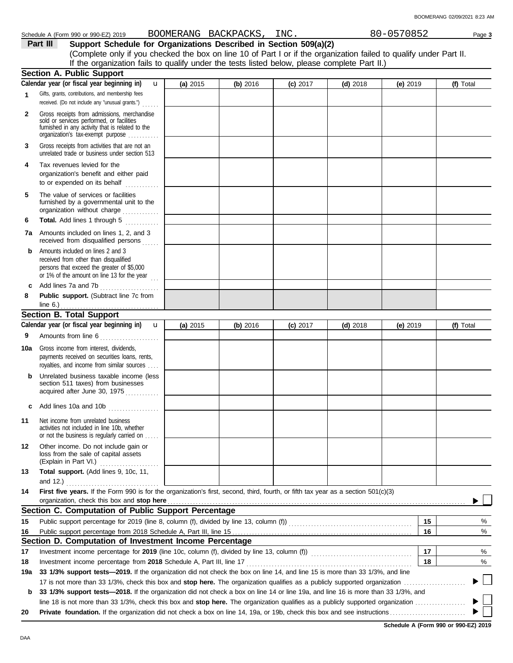|              |                                                                                                                                                                                   |          |                           |            |            |            | BOOMERANG 02/09/2021 8:23 AM |
|--------------|-----------------------------------------------------------------------------------------------------------------------------------------------------------------------------------|----------|---------------------------|------------|------------|------------|------------------------------|
|              | Schedule A (Form 990 or 990-EZ) 2019                                                                                                                                              |          | BOOMERANG BACKPACKS, INC. |            |            | 80-0570852 | Page 3                       |
|              | Support Schedule for Organizations Described in Section 509(a)(2)<br>Part III                                                                                                     |          |                           |            |            |            |                              |
|              | (Complete only if you checked the box on line 10 of Part I or if the organization failed to qualify under Part II.                                                                |          |                           |            |            |            |                              |
|              | If the organization fails to qualify under the tests listed below, please complete Part II.)                                                                                      |          |                           |            |            |            |                              |
|              | <b>Section A. Public Support</b>                                                                                                                                                  |          |                           |            |            |            |                              |
|              | Calendar year (or fiscal year beginning in)<br>$\mathbf{u}$                                                                                                                       | (a) 2015 | $(b)$ 2016                | $(c)$ 2017 | $(d)$ 2018 | (e) $2019$ | (f) Total                    |
| 1            | Gifts, grants, contributions, and membership fees<br>received. (Do not include any "unusual grants.")                                                                             |          |                           |            |            |            |                              |
| $\mathbf{2}$ | Gross receipts from admissions, merchandise<br>sold or services performed, or facilities<br>furnished in any activity that is related to the<br>organization's tax-exempt purpose |          |                           |            |            |            |                              |
| 3            | Gross receipts from activities that are not an<br>unrelated trade or business under section 513                                                                                   |          |                           |            |            |            |                              |
| 4            | Tax revenues levied for the<br>organization's benefit and either paid<br>to or expended on its behalf                                                                             |          |                           |            |            |            |                              |
| 5            | The value of services or facilities<br>furnished by a governmental unit to the<br>organization without charge                                                                     |          |                           |            |            |            |                              |
| 6            | Total. Add lines 1 through 5                                                                                                                                                      |          |                           |            |            |            |                              |
| 7a           | Amounts included on lines 1, 2, and 3<br>received from disqualified persons                                                                                                       |          |                           |            |            |            |                              |
| b            | Amounts included on lines 2 and 3<br>received from other than disqualified<br>persons that exceed the greater of \$5,000<br>or 1% of the amount on line 13 for the year $\ldots$  |          |                           |            |            |            |                              |
| c            | Add lines 7a and 7b                                                                                                                                                               |          |                           |            |            |            |                              |
| 8            | Public support. (Subtract line 7c from<br>line $6.$ )                                                                                                                             |          |                           |            |            |            |                              |
|              | <b>Section B. Total Support</b>                                                                                                                                                   |          |                           |            |            |            |                              |
|              | Calendar year (or fiscal year beginning in)<br>$\mathbf{u}$                                                                                                                       | (a) 2015 | (b) 2016                  | $(c)$ 2017 | $(d)$ 2018 | (e) $2019$ | (f) Total                    |
| 9            |                                                                                                                                                                                   |          |                           |            |            |            |                              |
| 10a          | Gross income from interest, dividends,<br>payments received on securities loans, rents,<br>royalties, and income from similar sources                                             |          |                           |            |            |            |                              |
|              | Unrelated business taxable income (less<br>section 511 taxes) from businesses<br>acquired after June 30, 1975                                                                     |          |                           |            |            |            |                              |
| c            | Add lines 10a and 10b                                                                                                                                                             |          |                           |            |            |            |                              |
| 11           | Net income from unrelated business<br>activities not included in line 10b, whether<br>or not the business is regularly carried on                                                 |          |                           |            |            |            |                              |
| 12           | Other income. Do not include gain or<br>loss from the sale of capital assets<br>(Explain in Part VI.)                                                                             |          |                           |            |            |            |                              |
| 13           | Total support. (Add lines 9, 10c, 11,                                                                                                                                             |          |                           |            |            |            |                              |
| 14           | First five years. If the Form 990 is for the organization's first, second, third, fourth, or fifth tax year as a section 501(c)(3)                                                |          |                           |            |            |            |                              |
|              | organization, check this box and stop here                                                                                                                                        |          |                           |            |            |            |                              |
|              | Section C. Computation of Public Support Percentage                                                                                                                               |          |                           |            |            |            |                              |
| 15           |                                                                                                                                                                                   |          |                           |            |            | 15         | %                            |
| 16           |                                                                                                                                                                                   |          |                           |            |            | 16         | %                            |
|              | Section D. Computation of Investment Income Percentage                                                                                                                            |          |                           |            |            |            |                              |
| 17           |                                                                                                                                                                                   |          |                           |            |            | 17         | %                            |
| 18           | Investment income percentage from 2018 Schedule A, Part III, line 17                                                                                                              |          |                           |            |            | 18         | %                            |
| 19a          | 33 1/3% support tests-2019. If the organization did not check the box on line 14, and line 15 is more than 33 1/3%, and line                                                      |          |                           |            |            |            |                              |
|              |                                                                                                                                                                                   |          |                           |            |            |            |                              |

**b 33 1/3% support tests—2018.** If the organization did not check a box on line 14 or line 19a, and line 16 is more than 33 1/3%, and  $\blacktriangleright$   $\vdash$   $\vdash$ line 18 is not more than 33 1/3%, check this box and stop here. The organization qualifies as a publicly supported organization ................... ▶││

**20 Private foundation.** If the organization did not check a box on line 14, 19a, or 19b, check this box and see instructions . . . . . . . . . . . . . . . . . . . . . . . . . . .

**Schedule A (Form 990 or 990-EZ) 2019**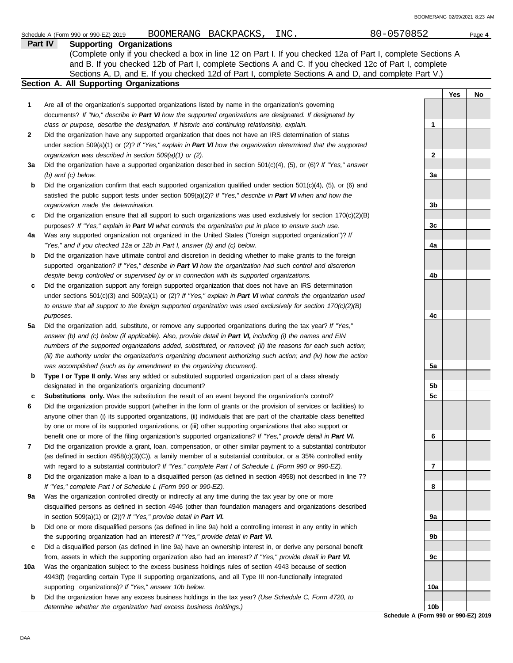|              | BOOMERANG BACKPACKS, INC.<br>Schedule A (Form 990 or 990-EZ) 2019                                                                                                                                                  | 80-0570852      |     | Page 4 |
|--------------|--------------------------------------------------------------------------------------------------------------------------------------------------------------------------------------------------------------------|-----------------|-----|--------|
|              | <b>Supporting Organizations</b><br>Part IV                                                                                                                                                                         |                 |     |        |
|              | (Complete only if you checked a box in line 12 on Part I. If you checked 12a of Part I, complete Sections A                                                                                                        |                 |     |        |
|              | and B. If you checked 12b of Part I, complete Sections A and C. If you checked 12c of Part I, complete                                                                                                             |                 |     |        |
|              | Sections A, D, and E. If you checked 12d of Part I, complete Sections A and D, and complete Part V.)                                                                                                               |                 |     |        |
|              | Section A. All Supporting Organizations                                                                                                                                                                            |                 |     |        |
|              |                                                                                                                                                                                                                    |                 | Yes | No     |
| 1            | Are all of the organization's supported organizations listed by name in the organization's governing                                                                                                               |                 |     |        |
|              | documents? If "No," describe in Part VI how the supported organizations are designated. If designated by                                                                                                           |                 |     |        |
|              | class or purpose, describe the designation. If historic and continuing relationship, explain.                                                                                                                      | 1               |     |        |
| $\mathbf{2}$ | Did the organization have any supported organization that does not have an IRS determination of status                                                                                                             |                 |     |        |
|              | under section 509(a)(1) or (2)? If "Yes," explain in Part VI how the organization determined that the supported                                                                                                    |                 |     |        |
|              | organization was described in section 509(a)(1) or (2).                                                                                                                                                            | $\mathbf{2}$    |     |        |
| За           | Did the organization have a supported organization described in section $501(c)(4)$ , (5), or (6)? If "Yes," answer                                                                                                |                 |     |        |
|              | $(b)$ and $(c)$ below.                                                                                                                                                                                             | 3a              |     |        |
| b            | Did the organization confirm that each supported organization qualified under section 501(c)(4), (5), or (6) and                                                                                                   |                 |     |        |
|              | satisfied the public support tests under section 509(a)(2)? If "Yes," describe in Part VI when and how the                                                                                                         |                 |     |        |
|              | organization made the determination.                                                                                                                                                                               | 3b              |     |        |
| c            | Did the organization ensure that all support to such organizations was used exclusively for section $170(c)(2)(B)$                                                                                                 |                 |     |        |
|              |                                                                                                                                                                                                                    | 3c              |     |        |
|              | purposes? If "Yes," explain in Part VI what controls the organization put in place to ensure such use.<br>Was any supported organization not organized in the United States ("foreign supported organization")? If |                 |     |        |
| 4a           |                                                                                                                                                                                                                    | 4a              |     |        |
|              | "Yes," and if you checked 12a or 12b in Part I, answer (b) and (c) below.                                                                                                                                          |                 |     |        |
| b            | Did the organization have ultimate control and discretion in deciding whether to make grants to the foreign                                                                                                        |                 |     |        |
|              | supported organization? If "Yes," describe in Part VI how the organization had such control and discretion                                                                                                         |                 |     |        |
|              | despite being controlled or supervised by or in connection with its supported organizations.                                                                                                                       | 4b              |     |        |
| c            | Did the organization support any foreign supported organization that does not have an IRS determination                                                                                                            |                 |     |        |
|              | under sections $501(c)(3)$ and $509(a)(1)$ or (2)? If "Yes," explain in Part VI what controls the organization used                                                                                                |                 |     |        |
|              | to ensure that all support to the foreign supported organization was used exclusively for section $170(c)(2)(B)$                                                                                                   |                 |     |        |
|              | purposes.                                                                                                                                                                                                          | 4c              |     |        |
| 5а           | Did the organization add, substitute, or remove any supported organizations during the tax year? If "Yes,"                                                                                                         |                 |     |        |
|              | answer (b) and (c) below (if applicable). Also, provide detail in Part VI, including (i) the names and EIN                                                                                                         |                 |     |        |
|              | numbers of the supported organizations added, substituted, or removed; (ii) the reasons for each such action;                                                                                                      |                 |     |        |
|              | (iii) the authority under the organization's organizing document authorizing such action; and (iv) how the action                                                                                                  |                 |     |        |
|              | was accomplished (such as by amendment to the organizing document).                                                                                                                                                | 5a              |     |        |
| b            | Type I or Type II only. Was any added or substituted supported organization part of a class already                                                                                                                |                 |     |        |
|              | designated in the organization's organizing document?                                                                                                                                                              | 5b              |     |        |
| c            | Substitutions only. Was the substitution the result of an event beyond the organization's control?                                                                                                                 | 5c              |     |        |
| 6            | Did the organization provide support (whether in the form of grants or the provision of services or facilities) to                                                                                                 |                 |     |        |
|              | anyone other than (i) its supported organizations, (ii) individuals that are part of the charitable class benefited                                                                                                |                 |     |        |
|              | by one or more of its supported organizations, or (iii) other supporting organizations that also support or                                                                                                        |                 |     |        |
|              | benefit one or more of the filing organization's supported organizations? If "Yes," provide detail in Part VI.                                                                                                     | 6               |     |        |
| 7            | Did the organization provide a grant, loan, compensation, or other similar payment to a substantial contributor                                                                                                    |                 |     |        |
|              | (as defined in section $4958(c)(3)(C)$ ), a family member of a substantial contributor, or a 35% controlled entity                                                                                                 |                 |     |        |
|              | with regard to a substantial contributor? If "Yes," complete Part I of Schedule L (Form 990 or 990-EZ).                                                                                                            | 7               |     |        |
| 8            | Did the organization make a loan to a disqualified person (as defined in section 4958) not described in line 7?                                                                                                    |                 |     |        |
|              | If "Yes," complete Part I of Schedule L (Form 990 or 990-EZ).                                                                                                                                                      | 8               |     |        |
| 9а           | Was the organization controlled directly or indirectly at any time during the tax year by one or more                                                                                                              |                 |     |        |
|              | disqualified persons as defined in section 4946 (other than foundation managers and organizations described                                                                                                        |                 |     |        |
|              | in section $509(a)(1)$ or $(2)$ ? If "Yes," provide detail in Part VI.                                                                                                                                             | 9а              |     |        |
| b            | Did one or more disqualified persons (as defined in line 9a) hold a controlling interest in any entity in which                                                                                                    |                 |     |        |
|              | the supporting organization had an interest? If "Yes," provide detail in Part VI.                                                                                                                                  | 9b              |     |        |
| c            | Did a disqualified person (as defined in line 9a) have an ownership interest in, or derive any personal benefit                                                                                                    |                 |     |        |
|              | from, assets in which the supporting organization also had an interest? If "Yes," provide detail in Part VI.                                                                                                       | 9с              |     |        |
| 10a          | Was the organization subject to the excess business holdings rules of section 4943 because of section                                                                                                              |                 |     |        |
|              | 4943(f) (regarding certain Type II supporting organizations, and all Type III non-functionally integrated                                                                                                          |                 |     |        |
|              | supporting organizations)? If "Yes," answer 10b below.                                                                                                                                                             | 10a             |     |        |
| b            | Did the organization have any excess business holdings in the tax year? (Use Schedule C, Form 4720, to                                                                                                             |                 |     |        |
|              | determine whether the organization had excess business holdings.)                                                                                                                                                  | 10 <sub>b</sub> |     |        |

**Schedule A (Form 990 or 990-EZ) 2019**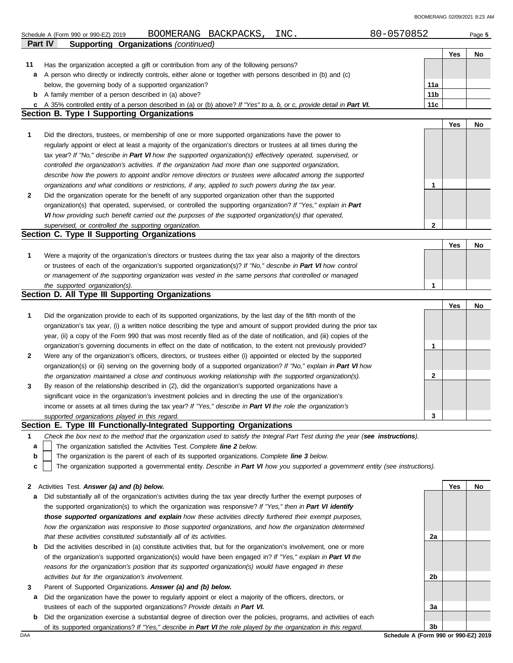|                | BOOMERANG BACKPACKS,<br>INC.<br>Schedule A (Form 990 or 990-EZ) 2019                                                              | 80-0570852                                 |     | Page 5 |
|----------------|-----------------------------------------------------------------------------------------------------------------------------------|--------------------------------------------|-----|--------|
| <b>Part IV</b> | <b>Supporting Organizations (continued)</b>                                                                                       |                                            |     |        |
|                |                                                                                                                                   |                                            | Yes | No     |
| 11             | Has the organization accepted a gift or contribution from any of the following persons?                                           |                                            |     |        |
| a              | A person who directly or indirectly controls, either alone or together with persons described in (b) and (c)                      |                                            |     |        |
|                | below, the governing body of a supported organization?                                                                            | 11a                                        |     |        |
|                | <b>b</b> A family member of a person described in (a) above?                                                                      | 11b                                        |     |        |
| c              | A 35% controlled entity of a person described in (a) or (b) above? If "Yes" to a, b, or c, provide detail in Part VI.             | 11c                                        |     |        |
|                | <b>Section B. Type I Supporting Organizations</b>                                                                                 |                                            |     |        |
|                |                                                                                                                                   |                                            | Yes | No     |
| $\mathbf{1}$   | Did the directors, trustees, or membership of one or more supported organizations have the power to                               |                                            |     |        |
|                | regularly appoint or elect at least a majority of the organization's directors or trustees at all times during the                |                                            |     |        |
|                | tax year? If "No," describe in Part VI how the supported organization(s) effectively operated, supervised, or                     |                                            |     |        |
|                | controlled the organization's activities. If the organization had more than one supported organization,                           |                                            |     |        |
|                | describe how the powers to appoint and/or remove directors or trustees were allocated among the supported                         |                                            |     |        |
|                | organizations and what conditions or restrictions, if any, applied to such powers during the tax year.                            | 1                                          |     |        |
| 2              | Did the organization operate for the benefit of any supported organization other than the supported                               |                                            |     |        |
|                | organization(s) that operated, supervised, or controlled the supporting organization? If "Yes," explain in Part                   |                                            |     |        |
|                | VI how providing such benefit carried out the purposes of the supported organization(s) that operated,                            |                                            |     |        |
|                | supervised, or controlled the supporting organization.                                                                            | 2                                          |     |        |
|                | Section C. Type II Supporting Organizations                                                                                       |                                            |     |        |
|                |                                                                                                                                   |                                            | Yes | No     |
| 1              | Were a majority of the organization's directors or trustees during the tax year also a majority of the directors                  |                                            |     |        |
|                | or trustees of each of the organization's supported organization(s)? If "No," describe in Part VI how control                     |                                            |     |        |
|                | or management of the supporting organization was vested in the same persons that controlled or managed                            |                                            |     |        |
|                | the supported organization(s).                                                                                                    | 1                                          |     |        |
|                | Section D. All Type III Supporting Organizations                                                                                  |                                            |     |        |
|                |                                                                                                                                   |                                            | Yes | No     |
| 1              | Did the organization provide to each of its supported organizations, by the last day of the fifth month of the                    |                                            |     |        |
|                | organization's tax year, (i) a written notice describing the type and amount of support provided during the prior tax             |                                            |     |        |
|                | year, (ii) a copy of the Form 990 that was most recently filed as of the date of notification, and (iii) copies of the            |                                            |     |        |
|                | organization's governing documents in effect on the date of notification, to the extent not previously provided?                  | 1                                          |     |        |
| 2              | Were any of the organization's officers, directors, or trustees either (i) appointed or elected by the supported                  |                                            |     |        |
|                | organization(s) or (ii) serving on the governing body of a supported organization? If "No," explain in Part VI how                |                                            |     |        |
|                | the organization maintained a close and continuous working relationship with the supported organization(s).                       | $\mathbf{2}$                               |     |        |
| 3              | By reason of the relationship described in (2), did the organization's supported organizations have a                             |                                            |     |        |
|                | significant voice in the organization's investment policies and in directing the use of the organization's                        |                                            |     |        |
|                | income or assets at all times during the tax year? If "Yes," describe in Part VI the role the organization's                      |                                            |     |        |
|                | supported organizations played in this regard.                                                                                    | 3                                          |     |        |
|                | Section E. Type III Functionally-Integrated Supporting Organizations                                                              |                                            |     |        |
| $\mathbf 1$    | Check the box next to the method that the organization used to satisfy the Integral Part Test during the year (see instructions). |                                            |     |        |
| а              | The organization satisfied the Activities Test. Complete line 2 below.                                                            |                                            |     |        |
| b              | The organization is the parent of each of its supported organizations. Complete line 3 below.                                     |                                            |     |        |
| c              | The organization supported a governmental entity. Describe in Part VI how you supported a government entity (see instructions).   |                                            |     |        |
| 2              | Activities Test. Answer (a) and (b) below.                                                                                        |                                            | Yes | No     |
|                | Did substantially all of the organization's activities during the tax year directly further the exempt purposes of                |                                            |     |        |
| а              | the supported organization(s) to which the organization was responsive? If "Yes," then in Part VI identify                        |                                            |     |        |
|                | those supported organizations and explain how these activities directly furthered their exempt purposes,                          |                                            |     |        |
|                | how the organization was responsive to those supported organizations, and how the organization determined                         |                                            |     |        |
|                |                                                                                                                                   |                                            |     |        |
|                | that these activities constituted substantially all of its activities.                                                            | 2a                                         |     |        |
| b              | Did the activities described in (a) constitute activities that, but for the organization's involvement, one or more               |                                            |     |        |
|                | of the organization's supported organization(s) would have been engaged in? If "Yes," explain in Part VI the                      |                                            |     |        |
|                | reasons for the organization's position that its supported organization(s) would have engaged in these                            |                                            |     |        |
|                | activities but for the organization's involvement.                                                                                | 2b                                         |     |        |
| 3              | Parent of Supported Organizations. Answer (a) and (b) below.                                                                      |                                            |     |        |
| а              | Did the organization have the power to regularly appoint or elect a majority of the officers, directors, or                       |                                            |     |        |
|                | trustees of each of the supported organizations? Provide details in Part VI.                                                      | За                                         |     |        |
| b              | Did the organization exercise a substantial degree of direction over the policies, programs, and activities of each               |                                            |     |        |
| DAA            | of its supported organizations? If "Yes," describe in Part VI the role played by the organization in this regard.                 | 3b<br>Schedule A (Form 990 or 990-EZ) 2019 |     |        |
|                |                                                                                                                                   |                                            |     |        |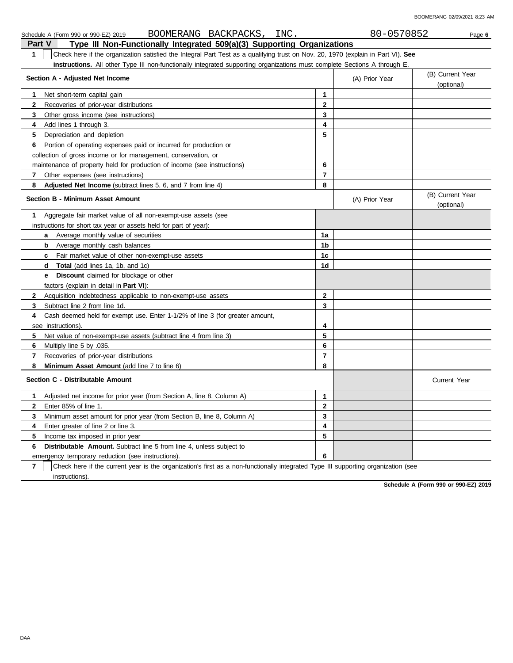|                | BOOMERANG BACKPACKS,<br>INC.<br>Schedule A (Form 990 or 990-EZ) 2019                                                             |                | 80-0570852     | Page 6                         |
|----------------|----------------------------------------------------------------------------------------------------------------------------------|----------------|----------------|--------------------------------|
| <b>Part V</b>  | Type III Non-Functionally Integrated 509(a)(3) Supporting Organizations                                                          |                |                |                                |
| 1              | Check here if the organization satisfied the Integral Part Test as a qualifying trust on Nov. 20, 1970 (explain in Part VI). See |                |                |                                |
|                | instructions. All other Type III non-functionally integrated supporting organizations must complete Sections A through E.        |                |                |                                |
|                | Section A - Adjusted Net Income                                                                                                  |                | (A) Prior Year | (B) Current Year<br>(optional) |
| 1              | Net short-term capital gain                                                                                                      | 1              |                |                                |
| 2              | Recoveries of prior-year distributions                                                                                           | $\mathbf{2}$   |                |                                |
| 3              | Other gross income (see instructions)                                                                                            | 3              |                |                                |
| 4              | Add lines 1 through 3.                                                                                                           | 4              |                |                                |
| 5              | Depreciation and depletion                                                                                                       | 5              |                |                                |
| 6              | Portion of operating expenses paid or incurred for production or                                                                 |                |                |                                |
|                | collection of gross income or for management, conservation, or                                                                   |                |                |                                |
|                | maintenance of property held for production of income (see instructions)                                                         | 6              |                |                                |
| 7              | Other expenses (see instructions)                                                                                                | 7              |                |                                |
| 8              | Adjusted Net Income (subtract lines 5, 6, and 7 from line 4)                                                                     | 8              |                |                                |
|                | <b>Section B - Minimum Asset Amount</b>                                                                                          |                | (A) Prior Year | (B) Current Year<br>(optional) |
| 1              | Aggregate fair market value of all non-exempt-use assets (see                                                                    |                |                |                                |
|                | instructions for short tax year or assets held for part of year):                                                                |                |                |                                |
|                | Average monthly value of securities<br>a                                                                                         | 1a             |                |                                |
|                | Average monthly cash balances<br>b                                                                                               | 1b             |                |                                |
|                | <b>c</b> Fair market value of other non-exempt-use assets                                                                        | 1c             |                |                                |
|                | <b>Total</b> (add lines 1a, 1b, and 1c)<br>d                                                                                     | 1d             |                |                                |
|                | <b>Discount</b> claimed for blockage or other<br>е                                                                               |                |                |                                |
|                | factors (explain in detail in Part VI):                                                                                          |                |                |                                |
| $\mathbf{2}$   | Acquisition indebtedness applicable to non-exempt-use assets                                                                     | $\mathbf{2}$   |                |                                |
| 3              | Subtract line 2 from line 1d.                                                                                                    | 3              |                |                                |
| 4              | Cash deemed held for exempt use. Enter 1-1/2% of line 3 (for greater amount,                                                     |                |                |                                |
|                | see instructions).                                                                                                               | 4              |                |                                |
| 5              | Net value of non-exempt-use assets (subtract line 4 from line 3)                                                                 | 5              |                |                                |
| 6              | Multiply line 5 by .035.                                                                                                         | 6              |                |                                |
| $\overline{7}$ | Recoveries of prior-year distributions                                                                                           | $\overline{7}$ |                |                                |
| 8              | Minimum Asset Amount (add line 7 to line 6)                                                                                      | 8              |                |                                |
|                | Section C - Distributable Amount                                                                                                 |                |                | <b>Current Year</b>            |
| 1.             | Adjusted net income for prior year (from Section A, line 8, Column A)                                                            | 1              |                |                                |
| $\mathbf{2}$   | Enter 85% of line 1.                                                                                                             | $\mathbf{2}$   |                |                                |
| 3              | Minimum asset amount for prior year (from Section B, line 8, Column A)                                                           | 3              |                |                                |
| 4              | Enter greater of line 2 or line 3.                                                                                               | 4              |                |                                |
| 5              | Income tax imposed in prior year                                                                                                 | 5              |                |                                |
| 6              | <b>Distributable Amount.</b> Subtract line 5 from line 4, unless subject to                                                      |                |                |                                |
|                | emergency temporary reduction (see instructions).                                                                                | 6              |                |                                |

**7** instructions). Check here if the current year is the organization's first as a non-functionally integrated Type III supporting organization (see

**Schedule A (Form 990 or 990-EZ) 2019**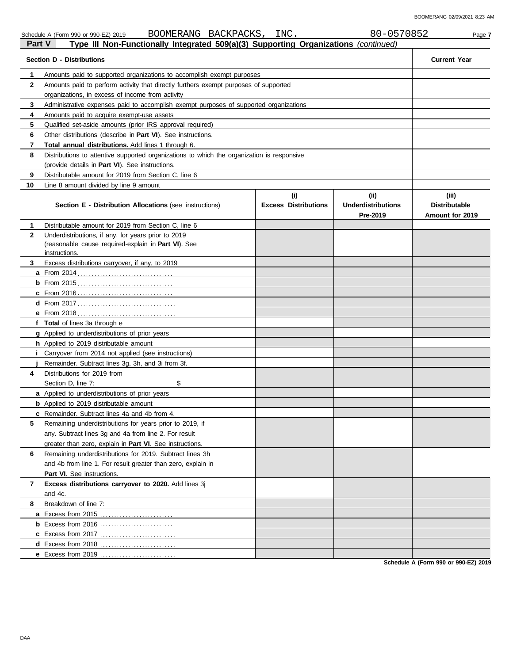|               | BOOMERANG BACKPACKS,<br>Schedule A (Form 990 or 990-EZ) 2019                                                             | INC.                               | 80-0570852                                   | Page 7                                           |
|---------------|--------------------------------------------------------------------------------------------------------------------------|------------------------------------|----------------------------------------------|--------------------------------------------------|
| <b>Part V</b> | Type III Non-Functionally Integrated 509(a)(3) Supporting Organizations (continued)                                      |                                    |                                              |                                                  |
|               | <b>Section D - Distributions</b>                                                                                         |                                    |                                              | <b>Current Year</b>                              |
| 1             | Amounts paid to supported organizations to accomplish exempt purposes                                                    |                                    |                                              |                                                  |
| $\mathbf{2}$  | Amounts paid to perform activity that directly furthers exempt purposes of supported                                     |                                    |                                              |                                                  |
|               | organizations, in excess of income from activity                                                                         |                                    |                                              |                                                  |
| 3             | Administrative expenses paid to accomplish exempt purposes of supported organizations                                    |                                    |                                              |                                                  |
| 4             | Amounts paid to acquire exempt-use assets                                                                                |                                    |                                              |                                                  |
| 5             | Qualified set-aside amounts (prior IRS approval required)                                                                |                                    |                                              |                                                  |
| 6             | Other distributions (describe in Part VI). See instructions.                                                             |                                    |                                              |                                                  |
| 7             | Total annual distributions. Add lines 1 through 6.                                                                       |                                    |                                              |                                                  |
| 8             | Distributions to attentive supported organizations to which the organization is responsive                               |                                    |                                              |                                                  |
|               | (provide details in Part VI). See instructions.                                                                          |                                    |                                              |                                                  |
| 9             | Distributable amount for 2019 from Section C, line 6                                                                     |                                    |                                              |                                                  |
| 10            | Line 8 amount divided by line 9 amount                                                                                   |                                    |                                              |                                                  |
|               | <b>Section E - Distribution Allocations (see instructions)</b>                                                           | (i)<br><b>Excess Distributions</b> | (i)<br><b>Underdistributions</b><br>Pre-2019 | (iii)<br><b>Distributable</b><br>Amount for 2019 |
| 1             | Distributable amount for 2019 from Section C, line 6                                                                     |                                    |                                              |                                                  |
| $\mathbf{2}$  | Underdistributions, if any, for years prior to 2019                                                                      |                                    |                                              |                                                  |
|               | (reasonable cause required-explain in Part VI). See                                                                      |                                    |                                              |                                                  |
|               | instructions.                                                                                                            |                                    |                                              |                                                  |
| 3             | Excess distributions carryover, if any, to 2019                                                                          |                                    |                                              |                                                  |
|               |                                                                                                                          |                                    |                                              |                                                  |
|               |                                                                                                                          |                                    |                                              |                                                  |
|               |                                                                                                                          |                                    |                                              |                                                  |
|               |                                                                                                                          |                                    |                                              |                                                  |
|               |                                                                                                                          |                                    |                                              |                                                  |
|               | f Total of lines 3a through e                                                                                            |                                    |                                              |                                                  |
|               | g Applied to underdistributions of prior years                                                                           |                                    |                                              |                                                  |
|               | h Applied to 2019 distributable amount                                                                                   |                                    |                                              |                                                  |
|               | <i>i</i> Carryover from 2014 not applied (see instructions)                                                              |                                    |                                              |                                                  |
|               | Remainder. Subtract lines 3g, 3h, and 3i from 3f.<br>Distributions for 2019 from                                         |                                    |                                              |                                                  |
| 4             |                                                                                                                          |                                    |                                              |                                                  |
|               | \$<br>Section D, line 7:<br>a Applied to underdistributions of prior years                                               |                                    |                                              |                                                  |
|               | <b>b</b> Applied to 2019 distributable amount                                                                            |                                    |                                              |                                                  |
|               |                                                                                                                          |                                    |                                              |                                                  |
| 5             | c Remainder. Subtract lines 4a and 4b from 4.<br>Remaining underdistributions for years prior to 2019, if                |                                    |                                              |                                                  |
|               | any. Subtract lines 3g and 4a from line 2. For result                                                                    |                                    |                                              |                                                  |
|               | greater than zero, explain in Part VI. See instructions.                                                                 |                                    |                                              |                                                  |
| 6             |                                                                                                                          |                                    |                                              |                                                  |
|               | Remaining underdistributions for 2019. Subtract lines 3h<br>and 4b from line 1. For result greater than zero, explain in |                                    |                                              |                                                  |
|               | Part VI. See instructions.                                                                                               |                                    |                                              |                                                  |
| 7             | Excess distributions carryover to 2020. Add lines 3j                                                                     |                                    |                                              |                                                  |
|               |                                                                                                                          |                                    |                                              |                                                  |
| 8             | and 4c.<br>Breakdown of line 7:                                                                                          |                                    |                                              |                                                  |
|               |                                                                                                                          |                                    |                                              |                                                  |
|               |                                                                                                                          |                                    |                                              |                                                  |
|               |                                                                                                                          |                                    |                                              |                                                  |
|               |                                                                                                                          |                                    |                                              |                                                  |
|               | e Excess from 2019                                                                                                       |                                    |                                              |                                                  |
|               |                                                                                                                          |                                    |                                              |                                                  |

**Schedule A (Form 990 or 990-EZ) 2019**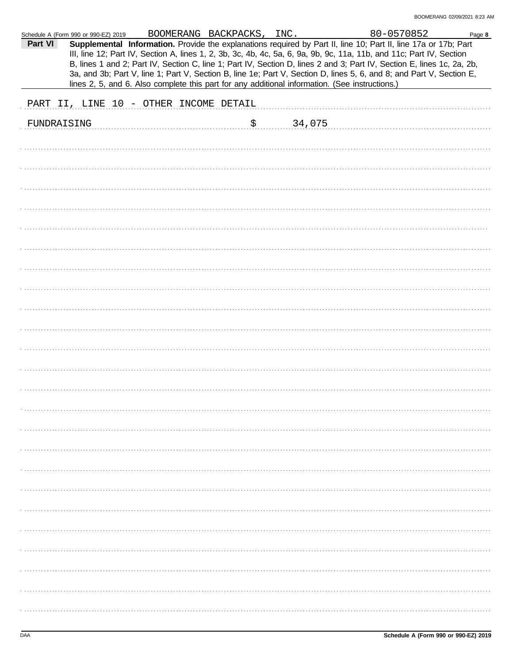| Part VI     | Schedule A (Form 990 or 990-EZ) 2019 |                                                                                                                                                                                                                                                                                                                                                                                                                                                                                                                                                                                                                                                                                                      |                     |  |  |
|-------------|--------------------------------------|------------------------------------------------------------------------------------------------------------------------------------------------------------------------------------------------------------------------------------------------------------------------------------------------------------------------------------------------------------------------------------------------------------------------------------------------------------------------------------------------------------------------------------------------------------------------------------------------------------------------------------------------------------------------------------------------------|---------------------|--|--|
|             |                                      |                                                                                                                                                                                                                                                                                                                                                                                                                                                                                                                                                                                                                                                                                                      |                     |  |  |
| FUNDRAISING |                                      |                                                                                                                                                                                                                                                                                                                                                                                                                                                                                                                                                                                                                                                                                                      | $\ddot{\mathsf{S}}$ |  |  |
|             |                                      | BOOMERANG BACKPACKS, INC.<br>80-0570852<br>Page 8<br>Supplemental Information. Provide the explanations required by Part II, line 10; Part II, line 17a or 17b; Part<br>III, line 12; Part IV, Section A, lines 1, 2, 3b, 3c, 4b, 4c, 5a, 6, 9a, 9b, 9c, 11a, 11b, and 11c; Part IV, Section<br>B, lines 1 and 2; Part IV, Section C, line 1; Part IV, Section D, lines 2 and 3; Part IV, Section E, lines 1c, 2a, 2b,<br>3a, and 3b; Part V, line 1; Part V, Section B, line 1e; Part V, Section D, lines 5, 6, and 8; and Part V, Section E,<br>lines 2, 5, and 6. Also complete this part for any additional information. (See instructions.)<br>PART II, LINE 10 - OTHER INCOME DETAIL<br>34,075 |                     |  |  |
|             |                                      |                                                                                                                                                                                                                                                                                                                                                                                                                                                                                                                                                                                                                                                                                                      |                     |  |  |
|             |                                      |                                                                                                                                                                                                                                                                                                                                                                                                                                                                                                                                                                                                                                                                                                      |                     |  |  |
|             |                                      |                                                                                                                                                                                                                                                                                                                                                                                                                                                                                                                                                                                                                                                                                                      |                     |  |  |
|             |                                      |                                                                                                                                                                                                                                                                                                                                                                                                                                                                                                                                                                                                                                                                                                      |                     |  |  |
|             |                                      |                                                                                                                                                                                                                                                                                                                                                                                                                                                                                                                                                                                                                                                                                                      |                     |  |  |
|             |                                      |                                                                                                                                                                                                                                                                                                                                                                                                                                                                                                                                                                                                                                                                                                      |                     |  |  |
|             |                                      |                                                                                                                                                                                                                                                                                                                                                                                                                                                                                                                                                                                                                                                                                                      |                     |  |  |
|             |                                      |                                                                                                                                                                                                                                                                                                                                                                                                                                                                                                                                                                                                                                                                                                      |                     |  |  |
|             |                                      |                                                                                                                                                                                                                                                                                                                                                                                                                                                                                                                                                                                                                                                                                                      |                     |  |  |
|             |                                      |                                                                                                                                                                                                                                                                                                                                                                                                                                                                                                                                                                                                                                                                                                      |                     |  |  |
|             |                                      |                                                                                                                                                                                                                                                                                                                                                                                                                                                                                                                                                                                                                                                                                                      |                     |  |  |
|             |                                      |                                                                                                                                                                                                                                                                                                                                                                                                                                                                                                                                                                                                                                                                                                      |                     |  |  |
|             |                                      |                                                                                                                                                                                                                                                                                                                                                                                                                                                                                                                                                                                                                                                                                                      |                     |  |  |
|             |                                      |                                                                                                                                                                                                                                                                                                                                                                                                                                                                                                                                                                                                                                                                                                      |                     |  |  |
|             |                                      |                                                                                                                                                                                                                                                                                                                                                                                                                                                                                                                                                                                                                                                                                                      |                     |  |  |
|             |                                      |                                                                                                                                                                                                                                                                                                                                                                                                                                                                                                                                                                                                                                                                                                      |                     |  |  |
|             |                                      |                                                                                                                                                                                                                                                                                                                                                                                                                                                                                                                                                                                                                                                                                                      |                     |  |  |
|             |                                      |                                                                                                                                                                                                                                                                                                                                                                                                                                                                                                                                                                                                                                                                                                      |                     |  |  |
|             |                                      |                                                                                                                                                                                                                                                                                                                                                                                                                                                                                                                                                                                                                                                                                                      |                     |  |  |
|             |                                      |                                                                                                                                                                                                                                                                                                                                                                                                                                                                                                                                                                                                                                                                                                      |                     |  |  |
|             |                                      |                                                                                                                                                                                                                                                                                                                                                                                                                                                                                                                                                                                                                                                                                                      |                     |  |  |
|             |                                      |                                                                                                                                                                                                                                                                                                                                                                                                                                                                                                                                                                                                                                                                                                      |                     |  |  |
|             |                                      |                                                                                                                                                                                                                                                                                                                                                                                                                                                                                                                                                                                                                                                                                                      |                     |  |  |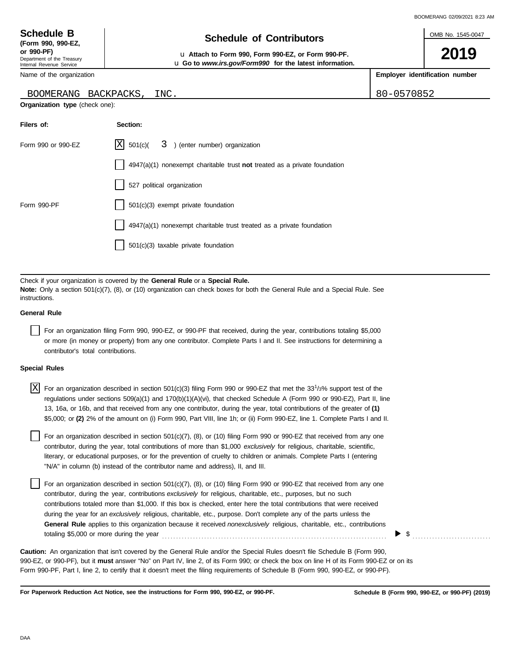OMB No. 1545-0047

**2019**

| <b>Schedule B</b>                                      |
|--------------------------------------------------------|
| (Form 990, 990-EZ,                                     |
| or 990-PF)                                             |
| Department of the Treasury<br>Internal Revenue Service |

### Name of the organization

# BOOMERANG BACKPACKS, INC. 80-0570852

**Organization type** (check one):

**Filers of: Section:**

| Schedule B       | <b>Schedule of Contributors</b> |
|------------------|---------------------------------|
| /Earm 000 000.E7 |                                 |

**or 990-PF)** u **Attach to Form 990, Form 990-EZ, or Form 990-PF.** u **Go to** *www.irs.gov/Form990* **for the latest information.**

**Employer identification number**

| Form 990 or 990-EZ                 | ΙXΙ<br>501(c)<br>3) (enter number) organization                                                                                                                                                                                                                                                                                                                                                                                                                                                                                                                                                                                         |
|------------------------------------|-----------------------------------------------------------------------------------------------------------------------------------------------------------------------------------------------------------------------------------------------------------------------------------------------------------------------------------------------------------------------------------------------------------------------------------------------------------------------------------------------------------------------------------------------------------------------------------------------------------------------------------------|
|                                    | $4947(a)(1)$ nonexempt charitable trust not treated as a private foundation                                                                                                                                                                                                                                                                                                                                                                                                                                                                                                                                                             |
|                                    | 527 political organization                                                                                                                                                                                                                                                                                                                                                                                                                                                                                                                                                                                                              |
| Form 990-PF                        | 501(c)(3) exempt private foundation                                                                                                                                                                                                                                                                                                                                                                                                                                                                                                                                                                                                     |
|                                    | 4947(a)(1) nonexempt charitable trust treated as a private foundation                                                                                                                                                                                                                                                                                                                                                                                                                                                                                                                                                                   |
|                                    | $501(c)(3)$ taxable private foundation                                                                                                                                                                                                                                                                                                                                                                                                                                                                                                                                                                                                  |
|                                    |                                                                                                                                                                                                                                                                                                                                                                                                                                                                                                                                                                                                                                         |
| instructions.                      | Check if your organization is covered by the General Rule or a Special Rule.<br><b>Note:</b> Only a section 501(c)(7), (8), or (10) organization can check boxes for both the General Rule and a Special Rule. See                                                                                                                                                                                                                                                                                                                                                                                                                      |
| <b>General Rule</b>                |                                                                                                                                                                                                                                                                                                                                                                                                                                                                                                                                                                                                                                         |
| contributor's total contributions. | For an organization filing Form 990, 990-EZ, or 990-PF that received, during the year, contributions totaling \$5,000<br>or more (in money or property) from any one contributor. Complete Parts I and II. See instructions for determining a                                                                                                                                                                                                                                                                                                                                                                                           |
| <b>Special Rules</b>               |                                                                                                                                                                                                                                                                                                                                                                                                                                                                                                                                                                                                                                         |
| lΧ                                 | For an organization described in section 501(c)(3) filing Form 990 or 990-EZ that met the 33 <sup>1</sup> /3% support test of the<br>regulations under sections $509(a)(1)$ and $170(b)(1)(A)(vi)$ , that checked Schedule A (Form 990 or 990-EZ), Part II, line<br>13, 16a, or 16b, and that received from any one contributor, during the year, total contributions of the greater of (1)<br>\$5,000; or (2) 2% of the amount on (i) Form 990, Part VIII, line 1h; or (ii) Form 990-EZ, line 1. Complete Parts I and II.                                                                                                              |
|                                    | For an organization described in section 501(c)(7), (8), or (10) filing Form 990 or 990-EZ that received from any one<br>contributor, during the year, total contributions of more than \$1,000 exclusively for religious, charitable, scientific,<br>literary, or educational purposes, or for the prevention of cruelty to children or animals. Complete Parts I (entering<br>"N/A" in column (b) instead of the contributor name and address), II, and III.                                                                                                                                                                          |
|                                    | For an organization described in section 501(c)(7), (8), or (10) filing Form 990 or 990-EZ that received from any one<br>contributor, during the year, contributions exclusively for religious, charitable, etc., purposes, but no such<br>contributions totaled more than \$1,000. If this box is checked, enter here the total contributions that were received<br>during the year for an exclusively religious, charitable, etc., purpose. Don't complete any of the parts unless the<br><b>General Rule</b> applies to this organization because it received <i>nonexclusively</i> religious, charitable, etc., contributions<br>\$ |
|                                    | Caution: An organization that isn't covered by the General Rule and/or the Special Rules doesn't file Schedule B (Form 990,<br>990-EZ, or 990-PF), but it <b>must</b> answer "No" on Part IV, line 2, of its Form 990; or check the box on line H of its Form 990-EZ or on its<br>Form 990-PF, Part I, line 2, to certify that it doesn't meet the filing requirements of Schedule B (Form 990, 990-EZ, or 990-PF).                                                                                                                                                                                                                     |

**For Paperwork Reduction Act Notice, see the instructions for Form 990, 990-EZ, or 990-PF.**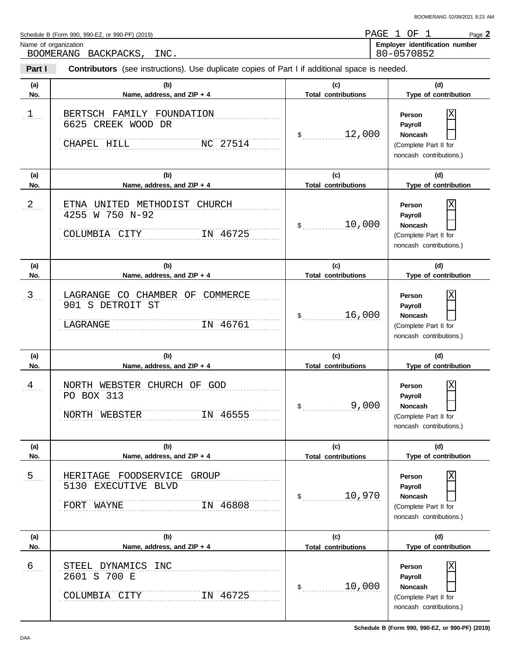Schedule B (Form 990, 990-EZ, or 990-PF) (2019)

Name of organization **Employer identification** number

BOOMERANG BACKPACKS, INC.

Page **2** PAGE 1 OF 1

80-0570852

| Part I           | <b>Contributors</b> (see instructions). Use duplicate copies of Part I if additional space is needed. |                                                                                                                                                                                                                                          |                                                                                              |
|------------------|-------------------------------------------------------------------------------------------------------|------------------------------------------------------------------------------------------------------------------------------------------------------------------------------------------------------------------------------------------|----------------------------------------------------------------------------------------------|
| (a)<br>No.       | (b)<br>Name, address, and ZIP + 4                                                                     | (c)<br><b>Total contributions</b>                                                                                                                                                                                                        | (d)<br>Type of contribution                                                                  |
| $1$              | BERTSCH FAMILY FOUNDATION<br>6625 CREEK WOOD DR<br>NC 27514<br>CHAPEL HILL                            | 12,000<br>$\sim$                                                                                                                                                                                                                         | Person<br>Payroll<br>Noncash<br>(Complete Part II for<br>noncash contributions.)             |
| (a)              | (b)                                                                                                   | (c)                                                                                                                                                                                                                                      | (d)                                                                                          |
| No.              | Name, address, and ZIP + 4                                                                            | <b>Total contributions</b>                                                                                                                                                                                                               | Type of contribution                                                                         |
| $2$ .            | UNITED METHODIST CHURCH<br>ETNA<br>4255 W 750 N-92<br>IN 46725<br>COLUMBIA CITY                       | 10,000<br>S and the set of the set of the set of the set of the set of the set of the set of the set of the set of the set of the set of the set of the set of the set of the set of the set of the set of the set of the set of the set | Person<br>Payroll<br>Noncash<br>(Complete Part II for<br>noncash contributions.)             |
| (a)              | (b)                                                                                                   | (c)                                                                                                                                                                                                                                      | (d)                                                                                          |
| No.              | Name, address, and ZIP + 4                                                                            | <b>Total contributions</b>                                                                                                                                                                                                               | Type of contribution                                                                         |
| $\overline{3}$ . | LAGRANGE CO CHAMBER OF COMMERCE<br>901 S DETROIT ST<br>IN 46761<br>LAGRANGE                           | 16,000<br>S and the set of the set of the set of the set of the set of the set of the set of the set of the set of the set of the set of the set of the set of the set of the set of the set of the set of the set of the set of the set | Person<br>Payroll<br><b>Noncash</b><br>(Complete Part II for<br>noncash contributions.)      |
| (a)              | (b)                                                                                                   | (c)                                                                                                                                                                                                                                      | (d)                                                                                          |
| No.              | Name, address, and ZIP + 4                                                                            | <b>Total contributions</b>                                                                                                                                                                                                               | Type of contribution                                                                         |
| $\overline{4}$   | NORTH WEBSTER CHURCH OF GOD<br>PO BOX 313<br>IN 46555<br>NORTH WEBSTER                                | 9,000<br>\$                                                                                                                                                                                                                              | Person<br>Payroll<br>Noncash<br>(Complete Part II for<br>noncash contributions.)             |
| (a)              | (b)                                                                                                   | (c)                                                                                                                                                                                                                                      | (d)                                                                                          |
| No.              | Name, address, and ZIP + 4                                                                            | <b>Total contributions</b>                                                                                                                                                                                                               | Type of contribution                                                                         |
| $\overline{5}$ . | HERITAGE FOODSERVICE<br>GROUP<br>5130 EXECUTIVE BLVD<br>IN 46808<br>FORT WAYNE                        | 10,970<br>$\sim$                                                                                                                                                                                                                         | Χ<br>Person<br>Payroll<br><b>Noncash</b><br>(Complete Part II for<br>noncash contributions.) |
| (a)              | (b)                                                                                                   | (c)                                                                                                                                                                                                                                      | (d)                                                                                          |
| No.              | Name, address, and ZIP + 4                                                                            | <b>Total contributions</b>                                                                                                                                                                                                               | Type of contribution                                                                         |
| 6 <sub>1</sub>   | STEEL DYNAMICS INC<br>2601 S 700 E<br>IN 46725<br>COLUMBIA CITY                                       | 10,000                                                                                                                                                                                                                                   | Χ<br>Person<br>Payroll<br><b>Noncash</b><br>(Complete Part II for<br>noncash contributions.) |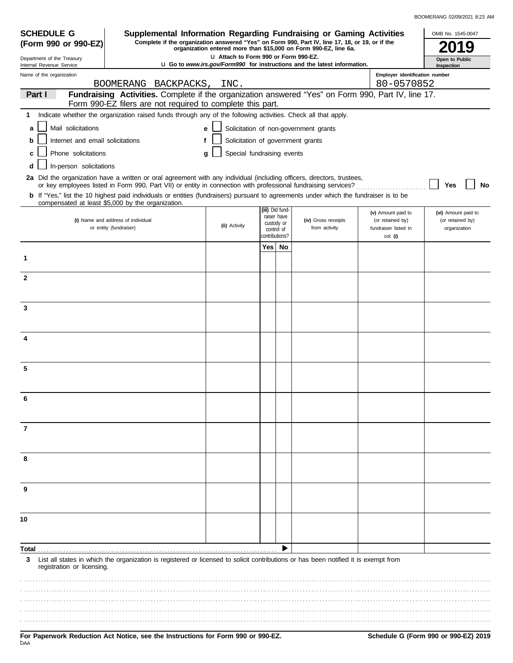| <b>SCHEDULE G</b>                                      | Supplemental Information Regarding Fundraising or Gaming Activities                                                                                                                                                                      |                                       |                |                           |                                                                                 |                                  | OMB No. 1545-0047            |
|--------------------------------------------------------|------------------------------------------------------------------------------------------------------------------------------------------------------------------------------------------------------------------------------------------|---------------------------------------|----------------|---------------------------|---------------------------------------------------------------------------------|----------------------------------|------------------------------|
| (Form 990 or 990-EZ)                                   | Complete if the organization answered "Yes" on Form 990, Part IV, line 17, 18, or 19, or if the<br>organization entered more than \$15,000 on Form 990-EZ, line 6a.                                                                      |                                       |                |                           |                                                                                 |                                  |                              |
| Department of the Treasury<br>Internal Revenue Service |                                                                                                                                                                                                                                          | L1 Attach to Form 990 or Form 990-EZ. |                |                           | <b>u</b> Go to www.irs.gov/Form990 for instructions and the latest information. |                                  | Open to Public<br>Inspection |
| Name of the organization                               |                                                                                                                                                                                                                                          |                                       |                |                           |                                                                                 | Employer identification number   |                              |
|                                                        | BOOMERANG BACKPACKS,                                                                                                                                                                                                                     | INC.                                  |                |                           |                                                                                 | 80-0570852                       |                              |
| Part I                                                 | Fundraising Activities. Complete if the organization answered "Yes" on Form 990, Part IV, line 17.<br>Form 990-EZ filers are not required to complete this part.                                                                         |                                       |                |                           |                                                                                 |                                  |                              |
| 1                                                      | Indicate whether the organization raised funds through any of the following activities. Check all that apply.                                                                                                                            |                                       |                |                           |                                                                                 |                                  |                              |
| Mail solicitations<br>a                                |                                                                                                                                                                                                                                          | e                                     |                |                           | Solicitation of non-government grants                                           |                                  |                              |
| Internet and email solicitations<br>b                  |                                                                                                                                                                                                                                          | f                                     |                |                           | Solicitation of government grants                                               |                                  |                              |
|                                                        |                                                                                                                                                                                                                                          |                                       |                |                           |                                                                                 |                                  |                              |
| Phone solicitations<br>c                               |                                                                                                                                                                                                                                          | Special fundraising events<br>a       |                |                           |                                                                                 |                                  |                              |
| In-person solicitations<br>d                           |                                                                                                                                                                                                                                          |                                       |                |                           |                                                                                 |                                  |                              |
|                                                        | 2a Did the organization have a written or oral agreement with any individual (including officers, directors, trustees,<br>or key employees listed in Form 990, Part VII) or entity in connection with professional fundraising services? |                                       |                |                           |                                                                                 |                                  | Yes<br>No                    |
|                                                        | b If "Yes," list the 10 highest paid individuals or entities (fundraisers) pursuant to agreements under which the fundraiser is to be<br>compensated at least \$5,000 by the organization.                                               |                                       |                |                           |                                                                                 |                                  |                              |
|                                                        |                                                                                                                                                                                                                                          |                                       |                | (iii) Did fund-           |                                                                                 | (v) Amount paid to               | (vi) Amount paid to          |
|                                                        | (i) Name and address of individual                                                                                                                                                                                                       | (ii) Activity                         |                | raiser have<br>custody or | (iv) Gross receipts                                                             | (or retained by)                 | (or retained by)             |
|                                                        | or entity (fundraiser)                                                                                                                                                                                                                   |                                       | contributions? | control of                | from activity                                                                   | fundraiser listed in<br>col. (i) | organization                 |
|                                                        |                                                                                                                                                                                                                                          |                                       | Yes⊺           | No                        |                                                                                 |                                  |                              |
| 1                                                      |                                                                                                                                                                                                                                          |                                       |                |                           |                                                                                 |                                  |                              |
|                                                        |                                                                                                                                                                                                                                          |                                       |                |                           |                                                                                 |                                  |                              |
| $\mathbf{2}$                                           |                                                                                                                                                                                                                                          |                                       |                |                           |                                                                                 |                                  |                              |
|                                                        |                                                                                                                                                                                                                                          |                                       |                |                           |                                                                                 |                                  |                              |
| 3                                                      |                                                                                                                                                                                                                                          |                                       |                |                           |                                                                                 |                                  |                              |
|                                                        |                                                                                                                                                                                                                                          |                                       |                |                           |                                                                                 |                                  |                              |
|                                                        |                                                                                                                                                                                                                                          |                                       |                |                           |                                                                                 |                                  |                              |
| 4                                                      |                                                                                                                                                                                                                                          |                                       |                |                           |                                                                                 |                                  |                              |
|                                                        |                                                                                                                                                                                                                                          |                                       |                |                           |                                                                                 |                                  |                              |
| 5                                                      |                                                                                                                                                                                                                                          |                                       |                |                           |                                                                                 |                                  |                              |
|                                                        |                                                                                                                                                                                                                                          |                                       |                |                           |                                                                                 |                                  |                              |
|                                                        |                                                                                                                                                                                                                                          |                                       |                |                           |                                                                                 |                                  |                              |
|                                                        |                                                                                                                                                                                                                                          |                                       |                |                           |                                                                                 |                                  |                              |
|                                                        |                                                                                                                                                                                                                                          |                                       |                |                           |                                                                                 |                                  |                              |
| 7                                                      |                                                                                                                                                                                                                                          |                                       |                |                           |                                                                                 |                                  |                              |
|                                                        |                                                                                                                                                                                                                                          |                                       |                |                           |                                                                                 |                                  |                              |
|                                                        |                                                                                                                                                                                                                                          |                                       |                |                           |                                                                                 |                                  |                              |
| 8                                                      |                                                                                                                                                                                                                                          |                                       |                |                           |                                                                                 |                                  |                              |
|                                                        |                                                                                                                                                                                                                                          |                                       |                |                           |                                                                                 |                                  |                              |
| 9                                                      |                                                                                                                                                                                                                                          |                                       |                |                           |                                                                                 |                                  |                              |
|                                                        |                                                                                                                                                                                                                                          |                                       |                |                           |                                                                                 |                                  |                              |
|                                                        |                                                                                                                                                                                                                                          |                                       |                |                           |                                                                                 |                                  |                              |
| 10                                                     |                                                                                                                                                                                                                                          |                                       |                |                           |                                                                                 |                                  |                              |
|                                                        |                                                                                                                                                                                                                                          |                                       |                |                           |                                                                                 |                                  |                              |
|                                                        |                                                                                                                                                                                                                                          |                                       |                |                           |                                                                                 |                                  |                              |
| 3                                                      | List all states in which the organization is registered or licensed to solicit contributions or has been notified it is exempt from                                                                                                      |                                       |                |                           |                                                                                 |                                  |                              |
| registration or licensing.                             |                                                                                                                                                                                                                                          |                                       |                |                           |                                                                                 |                                  |                              |
|                                                        |                                                                                                                                                                                                                                          |                                       |                |                           |                                                                                 |                                  |                              |
|                                                        |                                                                                                                                                                                                                                          |                                       |                |                           |                                                                                 |                                  |                              |
|                                                        |                                                                                                                                                                                                                                          |                                       |                |                           |                                                                                 |                                  |                              |
|                                                        |                                                                                                                                                                                                                                          |                                       |                |                           |                                                                                 |                                  |                              |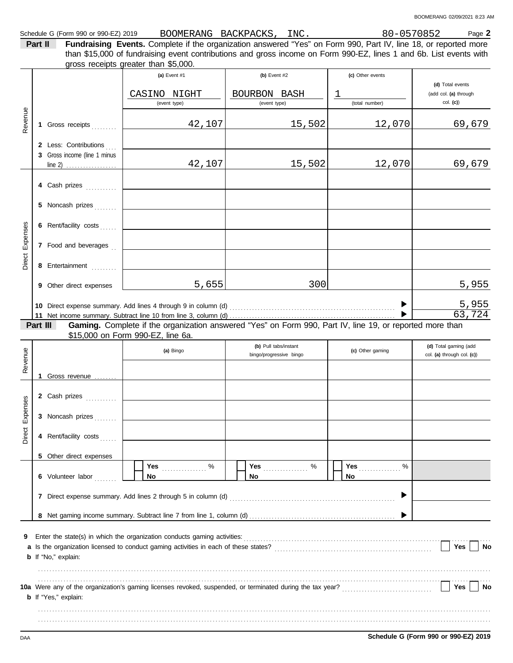| chedule G (Form 990 or 990-EZ) 2019 | BOOMERANG | E |
|-------------------------------------|-----------|---|

BACKPACKS,

Schedule G (Form 990 or 990-EZ) 2019 BOOMERANG BACKPACKS, INC. 80-0570852 Page 2<br>**Part II** Fundraising Events. Complete if the organization answered "Yes" on Form 990, Part IV, line 18, or reported more Fundraising Events. Complete if the organization answered "Yes" on Form 990, Part IV, line 18, or reported more gross receipts greater than \$5,000. than \$15,000 of fundraising event contributions and gross income on Form 990-EZ, lines 1 and 6b. List events with

|                 |          |                                                       | (a) Event #1<br>CASINO NIGHT<br>(event type) | (b) Event $#2$<br>BOURBON BASH<br>(event type)                                                           | (c) Other events<br>1<br>(total number) | (d) Total events<br>(add col. (a) through<br>$col.$ (c)) |
|-----------------|----------|-------------------------------------------------------|----------------------------------------------|----------------------------------------------------------------------------------------------------------|-----------------------------------------|----------------------------------------------------------|
| Revenue         |          | 1 Gross receipts                                      | 42,107                                       | 15,502                                                                                                   | 12,070                                  | 69,679                                                   |
|                 |          | 2 Less: Contributions<br>3 Gross income (line 1 minus |                                              |                                                                                                          |                                         |                                                          |
|                 |          |                                                       | 42,107                                       | 15,502                                                                                                   | 12,070                                  | 69,679                                                   |
|                 |          | 4 Cash prizes                                         |                                              |                                                                                                          |                                         |                                                          |
|                 |          | 5 Noncash prizes                                      |                                              |                                                                                                          |                                         |                                                          |
|                 |          | 6 Rent/facility costs                                 |                                              |                                                                                                          |                                         |                                                          |
| Direct Expenses |          | 7 Food and beverages                                  |                                              |                                                                                                          |                                         |                                                          |
|                 |          | 8 Entertainment                                       |                                              |                                                                                                          |                                         |                                                          |
|                 |          | 9 Other direct expenses                               | 5,655                                        | 300                                                                                                      |                                         | 5,955                                                    |
|                 |          |                                                       |                                              |                                                                                                          |                                         | 5,955                                                    |
|                 |          |                                                       |                                              |                                                                                                          |                                         | 63,724                                                   |
|                 | Part III |                                                       | \$15,000 on Form 990-EZ, line 6a.            | Gaming. Complete if the organization answered "Yes" on Form 990, Part IV, line 19, or reported more than |                                         |                                                          |
|                 |          |                                                       | (a) Bingo                                    | (b) Pull tabs/instant<br>bingo/progressive bingo                                                         | (c) Other gaming                        | (d) Total gaming (add<br>col. (a) through col. (c))      |
| Revenue         |          |                                                       |                                              |                                                                                                          |                                         |                                                          |
|                 |          | 1 Gross revenue                                       |                                              |                                                                                                          |                                         |                                                          |
|                 |          | 2 Cash prizes                                         |                                              |                                                                                                          |                                         |                                                          |
| Direct Expenses |          | 3 Noncash prizes                                      |                                              |                                                                                                          |                                         |                                                          |
|                 |          | 4 Rent/facility costs                                 |                                              |                                                                                                          |                                         |                                                          |
|                 |          | 5 Other direct expenses                               |                                              |                                                                                                          |                                         |                                                          |
|                 |          |                                                       |                                              |                                                                                                          | %<br><b>Yes</b>                         |                                                          |
|                 |          | 6 Volunteer labor                                     | No                                           | No                                                                                                       | No                                      |                                                          |
|                 |          |                                                       |                                              |                                                                                                          |                                         |                                                          |
|                 |          |                                                       |                                              |                                                                                                          |                                         |                                                          |
| 9               |          | <b>b</b> If "No," explain:                            |                                              |                                                                                                          |                                         | Yes<br>No                                                |
|                 |          | <b>b</b> If "Yes," explain:                           |                                              |                                                                                                          |                                         | Yes<br>No                                                |
|                 |          |                                                       |                                              |                                                                                                          |                                         |                                                          |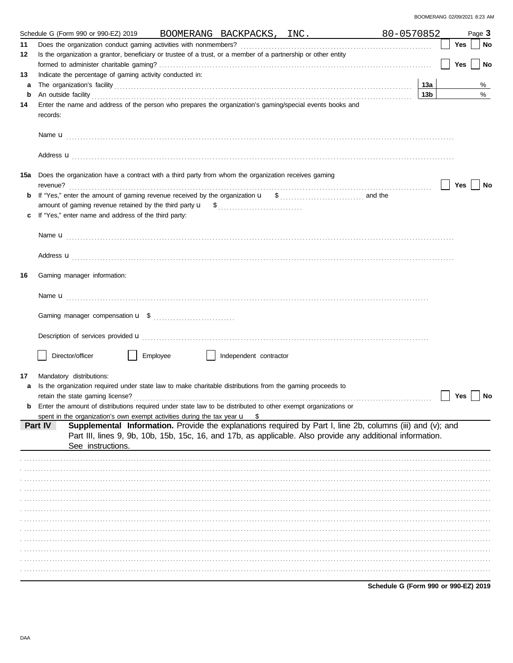|     | Schedule G (Form 990 or 990-EZ) 2019<br>BOOMERANG BACKPACKS, INC.                                                                                                                                                                    | 80-0570852      |            | Page 3 |
|-----|--------------------------------------------------------------------------------------------------------------------------------------------------------------------------------------------------------------------------------------|-----------------|------------|--------|
| 11  | Does the organization conduct gaming activities with nonmembers?                                                                                                                                                                     |                 | Yes        | No     |
| 12  | Is the organization a grantor, beneficiary or trustee of a trust, or a member of a partnership or other entity                                                                                                                       |                 |            |        |
|     |                                                                                                                                                                                                                                      |                 | <b>Yes</b> | No     |
| 13  | Indicate the percentage of gaming activity conducted in:                                                                                                                                                                             |                 |            |        |
| а   |                                                                                                                                                                                                                                      | 13а             |            | %      |
| b   | An outside facility <b>contained a set of the contract of the contract of the contract of the contract of the contract of the contract of the contract of the contract of the contract of the contract of the contract of the co</b> | 13 <sub>b</sub> |            | %      |
| 14  | Enter the name and address of the person who prepares the organization's gaming/special events books and                                                                                                                             |                 |            |        |
|     | records:                                                                                                                                                                                                                             |                 |            |        |
|     |                                                                                                                                                                                                                                      |                 |            |        |
|     |                                                                                                                                                                                                                                      |                 |            |        |
|     |                                                                                                                                                                                                                                      |                 |            |        |
|     | Address <b>u</b>                                                                                                                                                                                                                     |                 |            |        |
|     |                                                                                                                                                                                                                                      |                 |            |        |
| 15a | Does the organization have a contract with a third party from whom the organization receives gaming                                                                                                                                  |                 |            |        |
|     | revenue?                                                                                                                                                                                                                             |                 | Yes        | No     |
| b   |                                                                                                                                                                                                                                      |                 |            |        |
|     |                                                                                                                                                                                                                                      |                 |            |        |
| c   | If "Yes," enter name and address of the third party:                                                                                                                                                                                 |                 |            |        |
|     |                                                                                                                                                                                                                                      |                 |            |        |
|     |                                                                                                                                                                                                                                      |                 |            |        |
|     |                                                                                                                                                                                                                                      |                 |            |        |
|     |                                                                                                                                                                                                                                      |                 |            |        |
|     | Address <b>u</b>                                                                                                                                                                                                                     |                 |            |        |
|     |                                                                                                                                                                                                                                      |                 |            |        |
| 16  | Gaming manager information:                                                                                                                                                                                                          |                 |            |        |
|     |                                                                                                                                                                                                                                      |                 |            |        |
|     |                                                                                                                                                                                                                                      |                 |            |        |
|     |                                                                                                                                                                                                                                      |                 |            |        |
|     |                                                                                                                                                                                                                                      |                 |            |        |
|     |                                                                                                                                                                                                                                      |                 |            |        |
|     | Description of services provided <b>u</b> electron control and a service of the service of the services provided <b>u</b>                                                                                                            |                 |            |        |
|     |                                                                                                                                                                                                                                      |                 |            |        |
|     | Director/officer<br>Employee<br>    Independent contractor                                                                                                                                                                           |                 |            |        |
|     |                                                                                                                                                                                                                                      |                 |            |        |
| 17  | Mandatory distributions:                                                                                                                                                                                                             |                 |            |        |
| a   | Is the organization required under state law to make charitable distributions from the gaming proceeds to                                                                                                                            |                 |            |        |
|     |                                                                                                                                                                                                                                      |                 | Yes        | No     |
|     | Enter the amount of distributions required under state law to be distributed to other exempt organizations or                                                                                                                        |                 |            |        |
|     | spent in the organization's own exempt activities during the tax year $\mathbf{u}$ \$                                                                                                                                                |                 |            |        |
|     | Supplemental Information. Provide the explanations required by Part I, line 2b, columns (iii) and (v); and<br>Part IV                                                                                                                |                 |            |        |
|     | Part III, lines 9, 9b, 10b, 15b, 15c, 16, and 17b, as applicable. Also provide any additional information.                                                                                                                           |                 |            |        |
|     | See instructions.                                                                                                                                                                                                                    |                 |            |        |
|     |                                                                                                                                                                                                                                      |                 |            |        |
|     |                                                                                                                                                                                                                                      |                 |            |        |
|     |                                                                                                                                                                                                                                      |                 |            |        |
|     |                                                                                                                                                                                                                                      |                 |            |        |
|     |                                                                                                                                                                                                                                      |                 |            |        |
|     |                                                                                                                                                                                                                                      |                 |            |        |
|     |                                                                                                                                                                                                                                      |                 |            |        |
|     |                                                                                                                                                                                                                                      |                 |            |        |
|     |                                                                                                                                                                                                                                      |                 |            |        |
|     |                                                                                                                                                                                                                                      |                 |            |        |
|     |                                                                                                                                                                                                                                      |                 |            |        |
|     |                                                                                                                                                                                                                                      |                 |            |        |
|     |                                                                                                                                                                                                                                      |                 |            |        |
|     |                                                                                                                                                                                                                                      |                 |            |        |

Schedule G (Form 990 or 990-EZ) 2019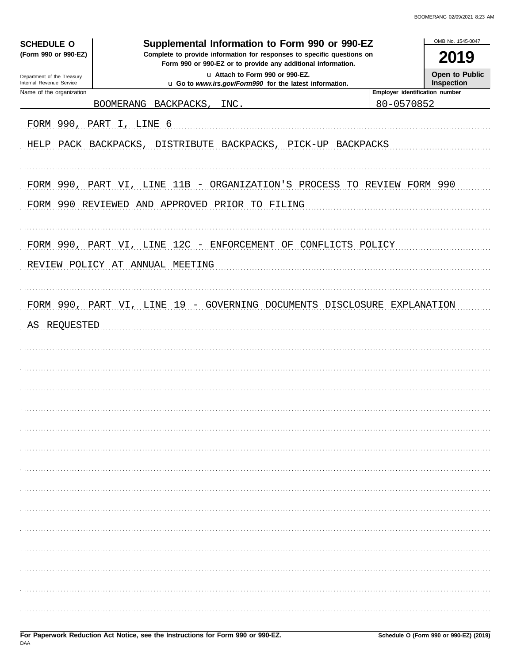| <b>SCHEDULE O</b>                                    | Supplemental Information to Form 990 or 990-EZ                                                                                         |                                | OMB No. 1545-0047 |
|------------------------------------------------------|----------------------------------------------------------------------------------------------------------------------------------------|--------------------------------|-------------------|
| (Form 990 or 990-EZ)                                 | Complete to provide information for responses to specific questions on<br>Form 990 or 990-EZ or to provide any additional information. |                                | 2019              |
| Department of the Treasury                           | La Attach to Form 990 or 990-EZ.                                                                                                       |                                | Open to Public    |
| Internal Revenue Service<br>Name of the organization | u Go to www.irs.gov/Form990 for the latest information.                                                                                | Employer identification number | Inspection        |
|                                                      | BOOMERANG BACKPACKS,<br>INC.                                                                                                           | 80-0570852                     |                   |
|                                                      |                                                                                                                                        |                                |                   |
|                                                      | FORM 990, PART I, LINE 6                                                                                                               |                                |                   |
|                                                      | HELP PACK BACKPACKS, DISTRIBUTE BACKPACKS, PICK-UP BACKPACKS                                                                           |                                |                   |
|                                                      | FORM 990, PART VI, LINE 11B - ORGANIZATION'S PROCESS TO REVIEW FORM 990                                                                |                                |                   |
|                                                      | FORM 990 REVIEWED AND APPROVED PRIOR TO FILING                                                                                         |                                |                   |
|                                                      | FORM 990, PART VI, LINE 12C - ENFORCEMENT OF CONFLICTS POLICY                                                                          |                                |                   |
|                                                      | REVIEW POLICY AT ANNUAL MEETING                                                                                                        |                                |                   |
|                                                      |                                                                                                                                        |                                |                   |
|                                                      |                                                                                                                                        |                                |                   |
|                                                      |                                                                                                                                        |                                |                   |
|                                                      |                                                                                                                                        |                                |                   |
|                                                      |                                                                                                                                        |                                |                   |
|                                                      |                                                                                                                                        |                                |                   |
|                                                      |                                                                                                                                        |                                |                   |
|                                                      |                                                                                                                                        |                                |                   |
|                                                      |                                                                                                                                        |                                |                   |
|                                                      |                                                                                                                                        |                                |                   |
|                                                      |                                                                                                                                        |                                |                   |
|                                                      |                                                                                                                                        |                                |                   |
|                                                      |                                                                                                                                        |                                |                   |
|                                                      |                                                                                                                                        |                                |                   |
|                                                      |                                                                                                                                        |                                |                   |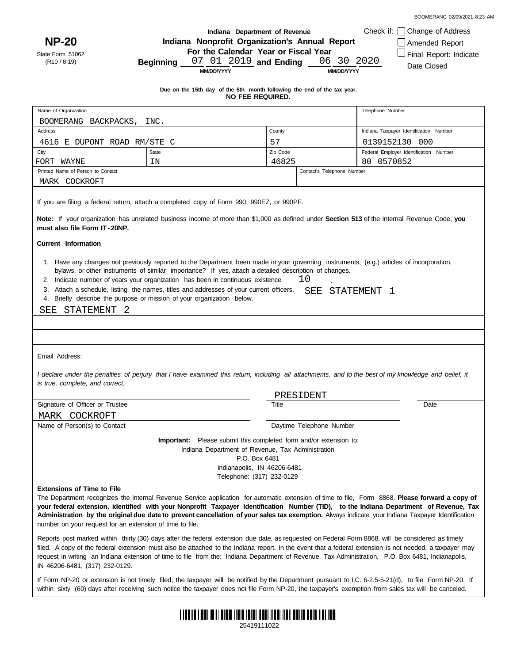**NP-20** State Form 51062

(R10 / 8-19)

Address

**City** 

**Indiana Department of Revenue Indiana Nonprofit Organization's Annual Report For the Calendar Year or Fiscal Year**

**Due on the 15th day of the 5th month following the end of the tax year. NO FEE REQUIRED.**

Final Report: Indicate Date Closed

Amended Report

Check if:  $\Box$  Change of Address

**MM/DD/YYYY**

**Beginning** 07 01 2019 and Ending 06 30 2020

.

**MM/DD/YYYY**

Name of Organization Printed Name of Person to Contact Contact Contact Contact Contact Contact Contact Contact Contact Contact Contact Contact Contact Contact Contact Contact Contact Contact Contact Contact Contact Contact Contact Contact Cont State **State Zip Code County** Federal Employer Identification Number Indiana Taxpayer Identification Number Telephone Number BOOMERANG BACKPACKS, INC. 4616 E DUPONT ROAD RM/STE C 67 0139152130 000 FORT WAYNE | IN | 46825 | 80 0570852 MARK COCKROFT

If you are filing a federal return, attach a completed copy of Form 990, 990EZ, or 990PF.

**Note:** If your organization has unrelated business income of more than \$1,000 as defined under **Section 513** of the Internal Revenue Code, **you must also file Form IT- 20NP.**

#### **Current Information**

- 1. Have any changes not previously reported to the Department been made in your governing instruments, (e.g.) articles of incorporation, bylaws, or other instruments of similar importance? If yes, attach a detailed description of changes.
- 2. Indicate number of years your organization has been in continuous existence 10
- 3. Attach a schedule, listing the names, titles and addresses of your current officers. SEE STATEMENT 1
- 4. Briefly describe the purpose or mission of your organization below.

## SEE STATEMENT 2

Email Address:

I declare under the penalties of perjury that I have examined this return, including all attachments, and to the best of my knowledge and belief, it *is true, complete, and correct.*

|                                 | PRESIDENT                                                         |      |
|---------------------------------|-------------------------------------------------------------------|------|
| Signature of Officer or Trustee | Title                                                             | Date |
| COCKROFT<br>MARK                |                                                                   |      |
| Name of Person(s) to Contact    | Daytime Telephone Number                                          |      |
|                                 | Important: Please submit this completed form and/or extension to: |      |
|                                 | Indiana Department of Revenue, Tax Administration                 |      |
|                                 | P.O. Box 6481                                                     |      |

Indianapolis, IN 46206-6481 Telephone: (317) 232-0129

#### **Extensions of Time to File**

The Department recognizes the Internal Revenue Service application for automatic extension of time to file, Form 8868. **Please forward a copy of** your federal extension, identified with your Nonprofit Taxpayer Identification Number (TID), to the Indiana Department of Revenue, Tax **Administration by the original due date to prevent cancellation of your sales tax exemption.** Always indicate your Indiana Taxpayer Identification number on your request for an extension of time to file.

Reports post marked within thirty (30) days after the federal extension due date, as requested on Federal Form 8868, will be considered as timely filed. A copy of the federal extension must also be attached to the Indiana report. In the event that a federal extension is not needed, a taxpayer may request in writing an Indiana extension of time to file from the: Indiana Department of Revenue, Tax Administration, P.O. Box 6481, Indianapolis, IN 46206-6481, (317) 232-0129.

within sixty (60) days after receiving such notice the taxpayer does not file Form NP-20, the taxpayer's exemption from sales tax will be canceled. If Form NP-20 or extension is not timely filed, the taxpayer will be notified by the Department pursuant to I.C. 6-2.5-5-21(d), to file Form NP-20. If